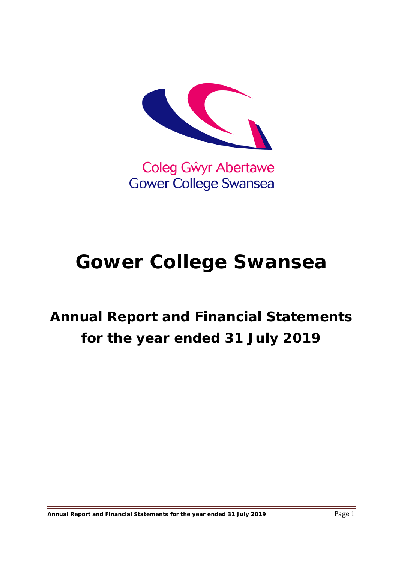

Coleg Gŵyr Abertawe **Gower College Swansea** 

# **Gower College Swansea**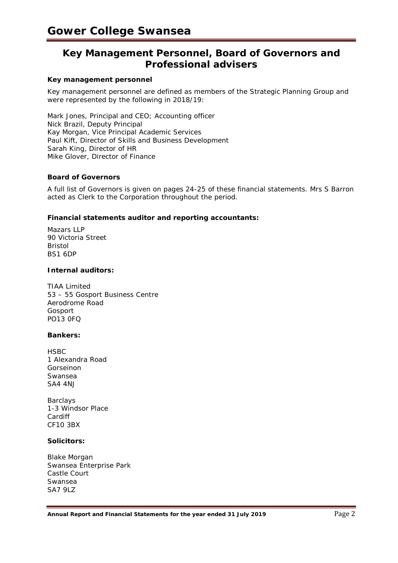# **Key Management Personnel, Board of Governors and Professional advisers**

#### **Key management personnel**

Key management personnel are defined as members of the Strategic Planning Group and were represented by the following in 2018/19:

Mark Jones, Principal and CEO; Accounting officer Nick Brazil, Deputy Principal Kay Morgan, Vice Principal Academic Services Paul Kift, Director of Skills and Business Development Sarah King, Director of HR Mike Glover, Director of Finance

#### **Board of Governors**

A full list of Governors is given on pages 24-25 of these financial statements. Mrs S Barron acted as Clerk to the Corporation throughout the period.

#### **Financial statements auditor and reporting accountants:**

Mazars LLP 90 Victoria Street Bristol BS1 6DP

#### **Internal auditors:**

TIAA Limited 53 – 55 Gosport Business Centre Aerodrome Road Gosport PO13 0FQ

#### **Bankers:**

**HSBC** 1 Alexandra Road Gorseinon Swansea SA4 4NJ

Barclays 1-3 Windsor Place Cardiff CF10 3BX

#### **Solicitors:**

Blake Morgan Swansea Enterprise Park Castle Court Swansea SA7 9LZ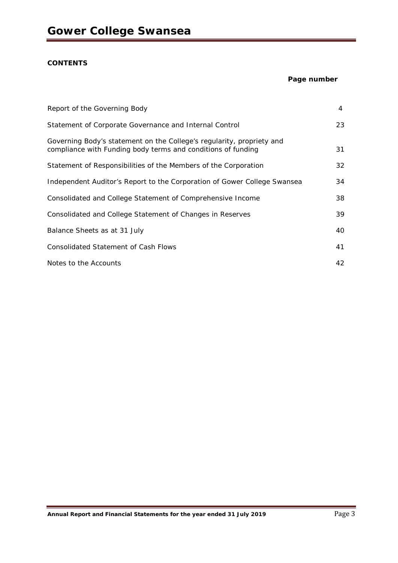## **CONTENTS**

#### **Page number**

| Report of the Governing Body                                                                                                          | 4  |
|---------------------------------------------------------------------------------------------------------------------------------------|----|
| Statement of Corporate Governance and Internal Control                                                                                | 23 |
| Governing Body's statement on the College's regularity, propriety and<br>compliance with Funding body terms and conditions of funding | 31 |
| Statement of Responsibilities of the Members of the Corporation                                                                       | 32 |
| Independent Auditor's Report to the Corporation of Gower College Swansea                                                              | 34 |
| Consolidated and College Statement of Comprehensive Income                                                                            | 38 |
| Consolidated and College Statement of Changes in Reserves                                                                             | 39 |
| Balance Sheets as at 31 July                                                                                                          | 40 |
| <b>Consolidated Statement of Cash Flows</b>                                                                                           | 41 |
| Notes to the Accounts                                                                                                                 | 42 |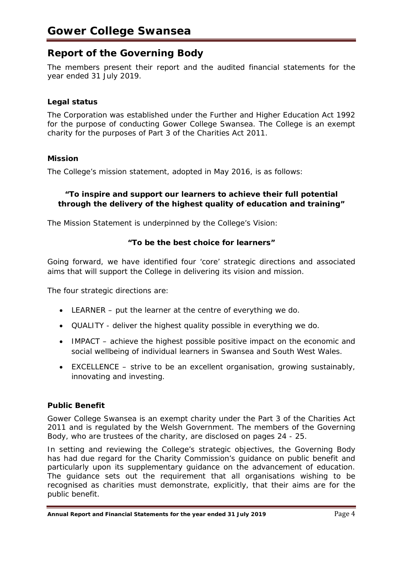# **Report of the Governing Body**

The members present their report and the audited financial statements for the year ended 31 July 2019.

# **Legal status**

The Corporation was established under the Further and Higher Education Act 1992 for the purpose of conducting Gower College Swansea. The College is an exempt charity for the purposes of Part 3 of the Charities Act 2011.

# **Mission**

The College's mission statement, adopted in May 2016, is as follows:

# **"To inspire and support our learners to achieve their full potential through the delivery of the highest quality of education and training"**

The Mission Statement is underpinned by the College's Vision:

# **"To be the best choice for learners"**

Going forward, we have identified four 'core' strategic directions and associated aims that will support the College in delivering its vision and mission.

The four strategic directions are:

- LEARNER put the learner at the centre of everything we do.
- QUALITY deliver the highest quality possible in everything we do.
- IMPACT achieve the highest possible positive impact on the economic and social wellbeing of individual learners in Swansea and South West Wales.
- EXCELLENCE strive to be an excellent organisation, growing sustainably, innovating and investing.

# **Public Benefit**

Gower College Swansea is an exempt charity under the Part 3 of the Charities Act 2011 and is regulated by the Welsh Government. The members of the Governing Body, who are trustees of the charity, are disclosed on pages 24 - 25.

In setting and reviewing the College's strategic objectives, the Governing Body has had due regard for the Charity Commission's guidance on public benefit and particularly upon its supplementary guidance on the advancement of education. The guidance sets out the requirement that all organisations wishing to be recognised as charities must demonstrate, explicitly, that their aims are for the public benefit.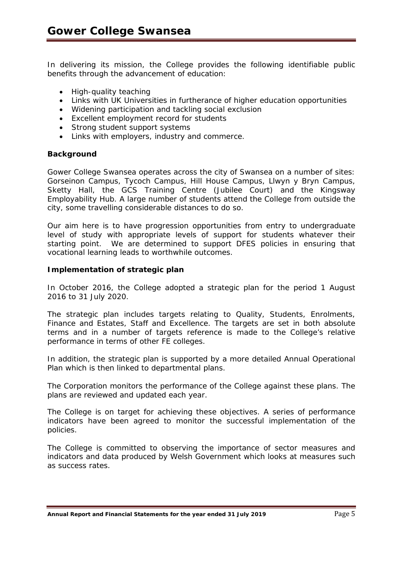In delivering its mission, the College provides the following identifiable public benefits through the advancement of education:

- High-quality teaching
- Links with UK Universities in furtherance of higher education opportunities
- Widening participation and tackling social exclusion
- Excellent employment record for students
- Strong student support systems
- Links with employers, industry and commerce.

## **Background**

Gower College Swansea operates across the city of Swansea on a number of sites: Gorseinon Campus, Tycoch Campus, Hill House Campus, Llwyn y Bryn Campus, Sketty Hall, the GCS Training Centre (Jubilee Court) and the Kingsway Employability Hub. A large number of students attend the College from outside the city, some travelling considerable distances to do so.

Our aim here is to have progression opportunities from entry to undergraduate level of study with appropriate levels of support for students whatever their starting point. We are determined to support DFES policies in ensuring that vocational learning leads to worthwhile outcomes.

## **Implementation of strategic plan**

In October 2016, the College adopted a strategic plan for the period 1 August 2016 to 31 July 2020.

The strategic plan includes targets relating to Quality, Students, Enrolments, Finance and Estates, Staff and Excellence. The targets are set in both absolute terms and in a number of targets reference is made to the College's relative performance in terms of other FE colleges.

In addition, the strategic plan is supported by a more detailed Annual Operational Plan which is then linked to departmental plans.

The Corporation monitors the performance of the College against these plans. The plans are reviewed and updated each year.

The College is on target for achieving these objectives. A series of performance indicators have been agreed to monitor the successful implementation of the policies.

The College is committed to observing the importance of sector measures and indicators and data produced by Welsh Government which looks at measures such as success rates.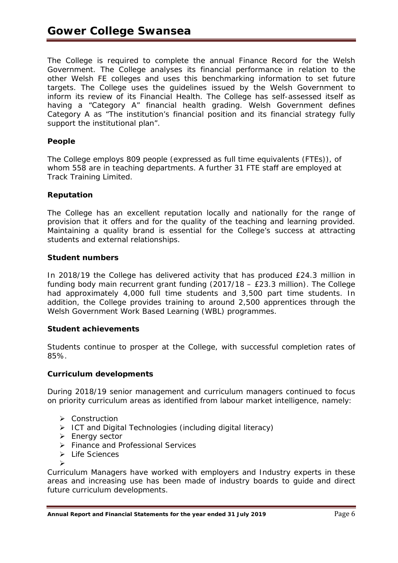The College is required to complete the annual Finance Record for the Welsh Government. The College analyses its financial performance in relation to the other Welsh FE colleges and uses this benchmarking information to set future targets. The College uses the guidelines issued by the Welsh Government to inform its review of its Financial Health. The College has self-assessed itself as having a "Category A" financial health grading. Welsh Government defines Category A as "The institution's financial position and its financial strategy fully support the institutional plan".

# **People**

The College employs 809 people (expressed as full time equivalents (FTEs)), of whom 558 are in teaching departments. A further 31 FTE staff are employed at Track Training Limited.

# **Reputation**

The College has an excellent reputation locally and nationally for the range of provision that it offers and for the quality of the teaching and learning provided. Maintaining a quality brand is essential for the College's success at attracting students and external relationships.

# **Student numbers**

In 2018/19 the College has delivered activity that has produced £24.3 million in funding body main recurrent grant funding (2017/18 – £23.3 million). The College had approximately 4,000 full time students and 3,500 part time students. In addition, the College provides training to around 2,500 apprentices through the Welsh Government Work Based Learning (WBL) programmes.

# **Student achievements**

Students continue to prosper at the College, with successful completion rates of 85%.

# **Curriculum developments**

During 2018/19 senior management and curriculum managers continued to focus on priority curriculum areas as identified from labour market intelligence, namely:

- **▶** Construction
- $\triangleright$  ICT and Digital Technologies (including digital literacy)
- > Energy sector
- Finance and Professional Services
- > Life Sciences

 $\blacktriangleright$ 

Curriculum Managers have worked with employers and Industry experts in these areas and increasing use has been made of industry boards to guide and direct future curriculum developments.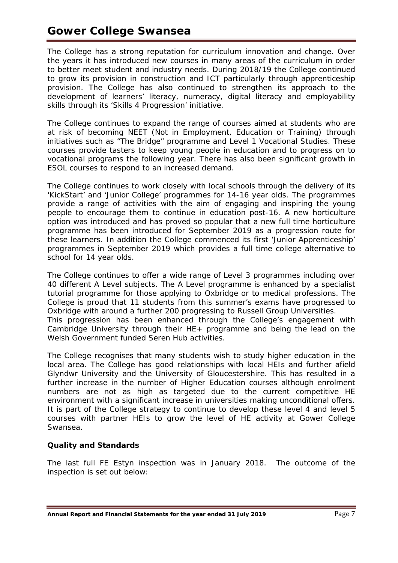# **Gower College Swansea**

The College has a strong reputation for curriculum innovation and change. Over the years it has introduced new courses in many areas of the curriculum in order to better meet student and industry needs. During 2018/19 the College continued to grow its provision in construction and ICT particularly through apprenticeship provision. The College has also continued to strengthen its approach to the development of learners' literacy, numeracy, digital literacy and employability skills through its 'Skills 4 Progression' initiative.

The College continues to expand the range of courses aimed at students who are at risk of becoming NEET (Not in Employment, Education or Training) through initiatives such as "The Bridge" programme and Level 1 Vocational Studies. These courses provide tasters to keep young people in education and to progress on to vocational programs the following year. There has also been significant growth in ESOL courses to respond to an increased demand.

The College continues to work closely with local schools through the delivery of its 'KickStart' and 'Junior College' programmes for 14-16 year olds. The programmes provide a range of activities with the aim of engaging and inspiring the young people to encourage them to continue in education post-16. A new horticulture option was introduced and has proved so popular that a new full time horticulture programme has been introduced for September 2019 as a progression route for these learners. In addition the College commenced its first 'Junior Apprenticeship' programmes in September 2019 which provides a full time college alternative to school for 14 year olds.

The College continues to offer a wide range of Level 3 programmes including over 40 different A Level subjects. The A Level programme is enhanced by a specialist tutorial programme for those applying to Oxbridge or to medical professions. The College is proud that 11 students from this summer's exams have progressed to Oxbridge with around a further 200 progressing to Russell Group Universities. This progression has been enhanced through the College's engagement with Cambridge University through their HE+ programme and being the lead on the

Welsh Government funded Seren Hub activities. The College recognises that many students wish to study higher education in the local area. The College has good relationships with local HEIs and further afield Glyndwr University and the University of Gloucestershire. This has resulted in a

further increase in the number of Higher Education courses although enrolment numbers are not as high as targeted due to the current competitive HE environment with a significant increase in universities making unconditional offers. It is part of the College strategy to continue to develop these level 4 and level 5 courses with partner HEIs to grow the level of HE activity at Gower College Swansea.

# **Quality and Standards**

The last full FE Estyn inspection was in January 2018. The outcome of the inspection is set out below: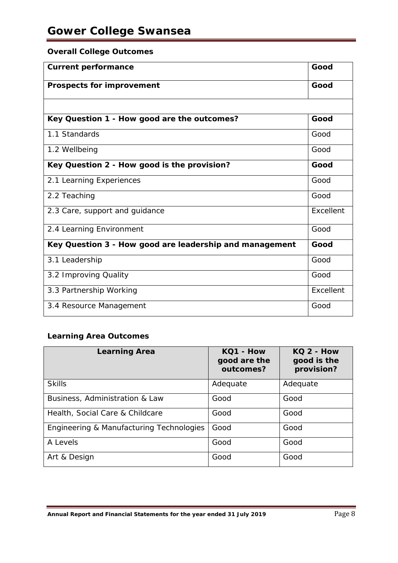# **Overall College Outcomes**

| <b>Current performance</b>                              | Good      |
|---------------------------------------------------------|-----------|
| <b>Prospects for improvement</b>                        | Good      |
|                                                         |           |
| Key Question 1 - How good are the outcomes?             | Good      |
| 1.1 Standards                                           | Good      |
| 1.2 Wellbeing                                           | Good      |
| Key Question 2 - How good is the provision?             | Good      |
| 2.1 Learning Experiences                                | Good      |
| 2.2 Teaching                                            | Good      |
| 2.3 Care, support and guidance                          | Excellent |
| 2.4 Learning Environment                                | Good      |
| Key Question 3 - How good are leadership and management | Good      |
| 3.1 Leadership                                          | Good      |
| 3.2 Improving Quality                                   | Good      |
| 3.3 Partnership Working                                 | Excellent |
| 3.4 Resource Management                                 | Good      |

# **Learning Area Outcomes**

| <b>Learning Area</b>                     | KQ1 - How<br>good are the<br>outcomes? | KQ 2 - How<br>good is the<br>provision? |  |
|------------------------------------------|----------------------------------------|-----------------------------------------|--|
| <b>Skills</b>                            | Adequate                               | Adequate                                |  |
| Business, Administration & Law           | Good                                   | Good                                    |  |
| Health, Social Care & Childcare          | Good                                   | Good                                    |  |
| Engineering & Manufacturing Technologies | Good                                   | Good                                    |  |
| A Levels                                 | Good                                   | Good                                    |  |
| Art & Design                             | Good                                   | Good                                    |  |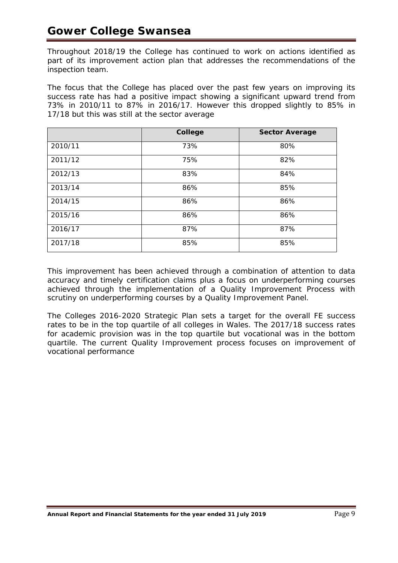Throughout 2018/19 the College has continued to work on actions identified as part of its improvement action plan that addresses the recommendations of the inspection team.

The focus that the College has placed over the past few years on improving its success rate has had a positive impact showing a significant upward trend from 73% in 2010/11 to 87% in 2016/17. However this dropped slightly to 85% in 17/18 but this was still at the sector average

|         | College | <b>Sector Average</b> |
|---------|---------|-----------------------|
| 2010/11 | 73%     | 80%                   |
| 2011/12 | 75%     | 82%                   |
| 2012/13 | 83%     | 84%                   |
| 2013/14 | 86%     | 85%                   |
| 2014/15 | 86%     | 86%                   |
| 2015/16 | 86%     | 86%                   |
| 2016/17 | 87%     | 87%                   |
| 2017/18 | 85%     | 85%                   |

This improvement has been achieved through a combination of attention to data accuracy and timely certification claims plus a focus on underperforming courses achieved through the implementation of a Quality Improvement Process with scrutiny on underperforming courses by a Quality Improvement Panel.

The Colleges 2016-2020 Strategic Plan sets a target for the overall FE success rates to be in the top quartile of all colleges in Wales. The 2017/18 success rates for academic provision was in the top quartile but vocational was in the bottom quartile. The current Quality Improvement process focuses on improvement of vocational performance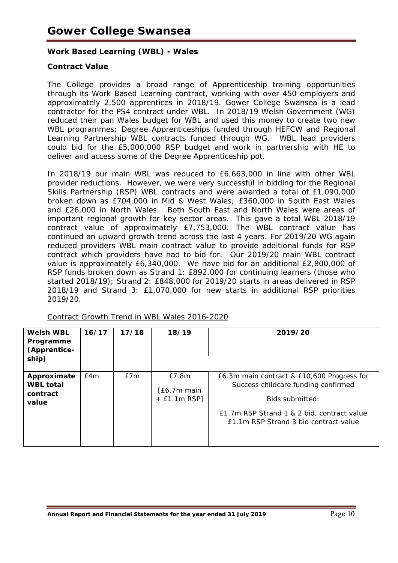# **Work Based Learning (WBL) - Wales**

# **Contract Value**

The College provides a broad range of Apprenticeship training opportunities through its Work Based Learning contract, working with over 450 employers and approximately 2,500 apprentices in 2018/19. Gower College Swansea is a lead contractor for the PS4 contract under WBL. In 2018/19 Welsh Government (WG) reduced their pan Wales budget for WBL and used this money to create two new WBL programmes; Degree Apprenticeships funded through HEFCW and Regional Learning Partnership WBL contracts funded through WG. WBL lead providers could bid for the £5,000,000 RSP budget and work in partnership with HE to deliver and access some of the Degree Apprenticeship pot.

In 2018/19 our main WBL was reduced to £6,663,000 in line with other WBL provider reductions. However, we were very successful in bidding for the Regional Skills Partnership (RSP) WBL contracts and were awarded a total of £1,090,000 broken down as £704,000 in Mid & West Wales; £360,000 in South East Wales and £26,000 in North Wales. Both South East and North Wales were areas of important regional growth for key sector areas. This gave a total WBL 2018/19 contract value of approximately £7,753,000. The WBL contract value has continued an upward growth trend across the last 4 years. For 2019/20 WG again reduced providers WBL main contract value to provide additional funds for RSP contract which providers have had to bid for. Our 2019/20 main WBL contract value is approximately £6,340,000. We have bid for an additional £2,800,000 of RSP funds broken down as Strand 1: £892,000 for continuing learners (those who started 2018/19); Strand 2: £848,000 for 2019/20 starts in areas delivered in RSP 2018/19 and Strand 3: £1,070,000 for new starts in additional RSP priorities 2019/20.

| <b>Welsh WBL</b><br>Programme<br>(Apprentice-<br>ship) | 16/17 | 17/18 | 18/19                                   | 2019/20                                                                                                                                                                                     |
|--------------------------------------------------------|-------|-------|-----------------------------------------|---------------------------------------------------------------------------------------------------------------------------------------------------------------------------------------------|
| Approximate<br><b>WBL total</b><br>contract<br>value   | E4m   | £7m   | E7.8m<br>[£6.7m main]<br>$+$ £1.1m RSP] | E6.3m main contract & £10,600 Progress for<br>Success childcare funding confirmed<br>Bids submitted:<br>£1.7m RSP Strand 1 & 2 bid, contract value<br>£1.1m RSP Strand 3 bid contract value |

Contract Growth Trend in WBL Wales 2016-2020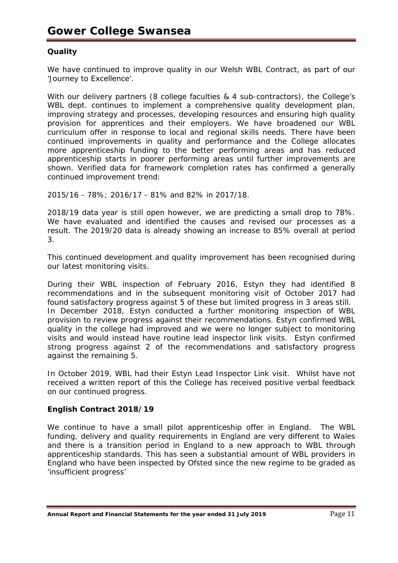# **Quality**

We have continued to improve quality in our Welsh WBL Contract, as part of our 'Journey to Excellence'.

With our delivery partners (8 college faculties & 4 sub-contractors), the College's WBL dept. continues to implement a comprehensive quality development plan, improving strategy and processes, developing resources and ensuring high quality provision for apprentices and their employers. We have broadened our WBL curriculum offer in response to local and regional skills needs. There have been continued improvements in quality and performance and the College allocates more apprenticeship funding to the better performing areas and has reduced apprenticeship starts in poorer performing areas until further improvements are shown. Verified data for framework completion rates has confirmed a generally continued improvement trend:

2015/16 - 78%; 2016/17 - 81% and 82% in 2017/18.

2018/19 data year is still open however, we are predicting a small drop to 78%. We have evaluated and identified the causes and revised our processes as a result. The 2019/20 data is already showing an increase to 85% overall at period 3.

This continued development and quality improvement has been recognised during our latest monitoring visits.

During their WBL inspection of February 2016, Estyn they had identified 8 recommendations and in the subsequent monitoring visit of October 2017 had found satisfactory progress against 5 of these but limited progress in 3 areas still. In December 2018, Estyn conducted a further monitoring inspection of WBL provision to review progress against their recommendations. Estyn confirmed WBL quality in the college had improved and we were no longer subject to monitoring visits and would instead have routine lead inspector link visits. Estyn confirmed strong progress against 2 of the recommendations and satisfactory progress against the remaining 5.

In October 2019, WBL had their Estyn Lead Inspector Link visit. Whilst have not received a written report of this the College has received positive verbal feedback on our continued progress.

# **English Contract 2018/19**

We continue to have a small pilot apprenticeship offer in England. The WBL funding, delivery and quality requirements in England are very different to Wales and there is a transition period in England to a new approach to WBL through apprenticeship standards. This has seen a substantial amount of WBL providers in England who have been inspected by Ofsted since the new regime to be graded as 'insufficient progress'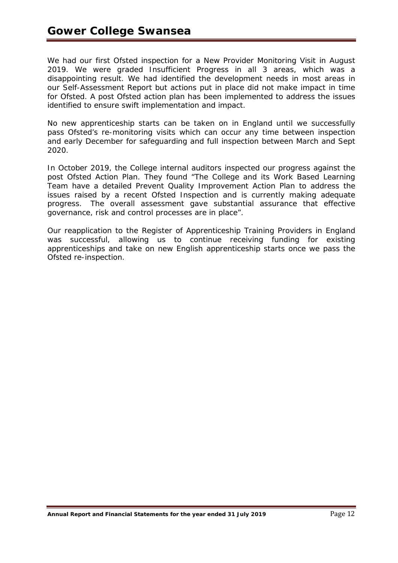We had our first Ofsted inspection for a New Provider Monitoring Visit in August 2019. We were graded Insufficient Progress in all 3 areas, which was a disappointing result. We had identified the development needs in most areas in our Self-Assessment Report but actions put in place did not make impact in time for Ofsted. A post Ofsted action plan has been implemented to address the issues identified to ensure swift implementation and impact.

No new apprenticeship starts can be taken on in England until we successfully pass Ofsted's re-monitoring visits which can occur any time between inspection and early December for safeguarding and full inspection between March and Sept 2020.

In October 2019, the College internal auditors inspected our progress against the post Ofsted Action Plan. They found "The College and its Work Based Learning Team have a detailed Prevent Quality Improvement Action Plan to address the issues raised by a recent Ofsted Inspection and is currently making adequate progress. The overall assessment gave substantial assurance that effective governance, risk and control processes are in place".

Our reapplication to the Register of Apprenticeship Training Providers in England was successful, allowing us to continue receiving funding for existing apprenticeships and take on new English apprenticeship starts once we pass the Ofsted re-inspection.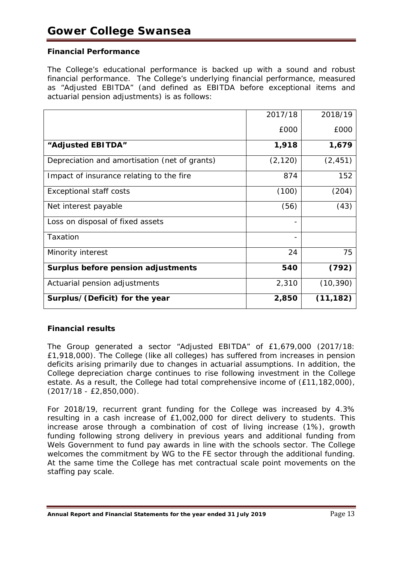# **Financial Performance**

The College's educational performance is backed up with a sound and robust financial performance. The College's underlying financial performance, measured as "Adjusted EBITDA" (and defined as EBITDA before exceptional items and actuarial pension adjustments) is as follows:

|                                               | 2017/18  | 2018/19   |
|-----------------------------------------------|----------|-----------|
|                                               | £000     | £000      |
| "Adjusted EBITDA"                             | 1,918    | 1,679     |
| Depreciation and amortisation (net of grants) | (2, 120) | (2, 451)  |
| Impact of insurance relating to the fire      | 874      | 152       |
| <b>Exceptional staff costs</b>                | (100)    | (204)     |
| Net interest payable                          | (56)     | (43)      |
| Loss on disposal of fixed assets              |          |           |
| Taxation                                      |          |           |
| Minority interest                             | 24       | 75        |
| Surplus before pension adjustments            | 540      | (792)     |
| Actuarial pension adjustments                 | 2,310    | (10, 390) |
| Surplus/(Deficit) for the year                | 2,850    | (11, 182) |

# *Financial results*

The Group generated a sector "Adjusted EBITDA" of £1,679,000 (2017/18: £1,918,000). The College (like all colleges) has suffered from increases in pension deficits arising primarily due to changes in actuarial assumptions. In addition, the College depreciation charge continues to rise following investment in the College estate. As a result, the College had total comprehensive income of (£11,182,000), (2017/18 - £2,850,000).

For 2018/19, recurrent grant funding for the College was increased by 4.3% resulting in a cash increase of £1,002,000 for direct delivery to students. This increase arose through a combination of cost of living increase (1%), growth funding following strong delivery in previous years and additional funding from Wels Government to fund pay awards in line with the schools sector. The College welcomes the commitment by WG to the FE sector through the additional funding. At the same time the College has met contractual scale point movements on the staffing pay scale.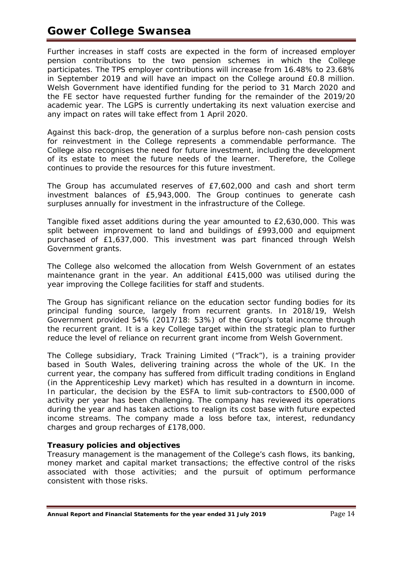# **Gower College Swansea**

Further increases in staff costs are expected in the form of increased employer pension contributions to the two pension schemes in which the College participates. The TPS employer contributions will increase from 16.48% to 23.68% in September 2019 and will have an impact on the College around £0.8 million. Welsh Government have identified funding for the period to 31 March 2020 and the FE sector have requested further funding for the remainder of the 2019/20 academic year. The LGPS is currently undertaking its next valuation exercise and any impact on rates will take effect from 1 April 2020.

Against this back-drop, the generation of a surplus before non-cash pension costs for reinvestment in the College represents a commendable performance. The College also recognises the need for future investment, including the development of its estate to meet the future needs of the learner. Therefore, the College continues to provide the resources for this future investment.

The Group has accumulated reserves of £7,602,000 and cash and short term investment balances of £5,943,000. The Group continues to generate cash surpluses annually for investment in the infrastructure of the College.

Tangible fixed asset additions during the year amounted to £2,630,000. This was split between improvement to land and buildings of £993,000 and equipment purchased of £1,637,000. This investment was part financed through Welsh Government grants.

The College also welcomed the allocation from Welsh Government of an estates maintenance grant in the year. An additional £415,000 was utilised during the year improving the College facilities for staff and students.

The Group has significant reliance on the education sector funding bodies for its principal funding source, largely from recurrent grants. In 2018/19, Welsh Government provided 54% (2017/18: 53%) of the Group's total income through the recurrent grant. It is a key College target within the strategic plan to further reduce the level of reliance on recurrent grant income from Welsh Government.

The College subsidiary, Track Training Limited ("Track"), is a training provider based in South Wales, delivering training across the whole of the UK. In the current year, the company has suffered from difficult trading conditions in England (in the Apprenticeship Levy market) which has resulted in a downturn in income. In particular, the decision by the ESFA to limit sub-contractors to £500,000 of activity per year has been challenging. The company has reviewed its operations during the year and has taken actions to realign its cost base with future expected income streams. The company made a loss before tax, interest, redundancy charges and group recharges of £178,000.

# *Treasury policies and objectives*

Treasury management is the management of the College's cash flows, its banking, money market and capital market transactions; the effective control of the risks associated with those activities; and the pursuit of optimum performance consistent with those risks.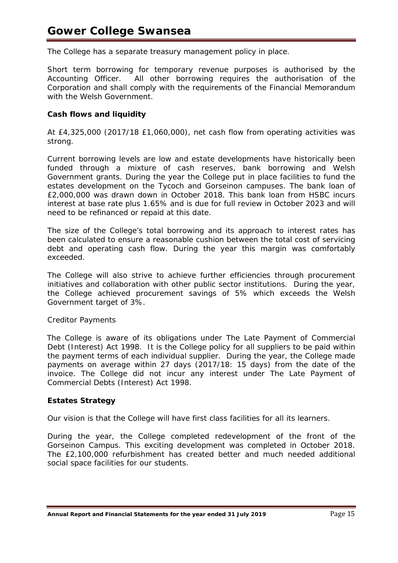The College has a separate treasury management policy in place.

Short term borrowing for temporary revenue purposes is authorised by the Accounting Officer. All other borrowing requires the authorisation of the Corporation and shall comply with the requirements of the Financial Memorandum with the Welsh Government.

# *Cash flows and liquidity*

At £4,325,000 (2017/18 £1,060,000), net cash flow from operating activities was strong.

Current borrowing levels are low and estate developments have historically been funded through a mixture of cash reserves, bank borrowing and Welsh Government grants. During the year the College put in place facilities to fund the estates development on the Tycoch and Gorseinon campuses. The bank loan of £2,000,000 was drawn down in October 2018. This bank loan from HSBC incurs interest at base rate plus 1.65% and is due for full review in October 2023 and will need to be refinanced or repaid at this date.

The size of the College's total borrowing and its approach to interest rates has been calculated to ensure a reasonable cushion between the total cost of servicing debt and operating cash flow. During the year this margin was comfortably exceeded.

The College will also strive to achieve further efficiencies through procurement initiatives and collaboration with other public sector institutions. During the year, the College achieved procurement savings of 5% which exceeds the Welsh Government target of 3%.

## *Creditor Payments*

The College is aware of its obligations under The Late Payment of Commercial Debt (Interest) Act 1998. It is the College policy for all suppliers to be paid within the payment terms of each individual supplier. During the year, the College made payments on average within 27 days (2017/18: 15 days) from the date of the invoice. The College did not incur any interest under The Late Payment of Commercial Debts (Interest) Act 1998.

# **Estates Strategy**

Our vision is that the College will have first class facilities for all its learners.

During the year, the College completed redevelopment of the front of the Gorseinon Campus. This exciting development was completed in October 2018. The £2,100,000 refurbishment has created better and much needed additional social space facilities for our students.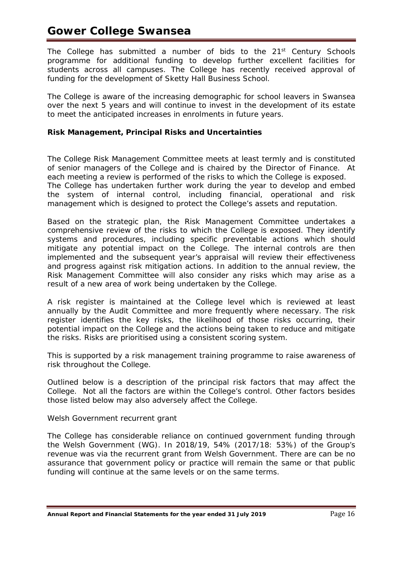The College has submitted a number of bids to the 21<sup>st</sup> Century Schools programme for additional funding to develop further excellent facilities for students across all campuses. The College has recently received approval of funding for the development of Sketty Hall Business School.

The College is aware of the increasing demographic for school leavers in Swansea over the next 5 years and will continue to invest in the development of its estate to meet the anticipated increases in enrolments in future years.

# **Risk Management, Principal Risks and Uncertainties**

The College Risk Management Committee meets at least termly and is constituted of senior managers of the College and is chaired by the Director of Finance. At each meeting a review is performed of the risks to which the College is exposed. The College has undertaken further work during the year to develop and embed the system of internal control, including financial, operational and risk management which is designed to protect the College's assets and reputation.

Based on the strategic plan, the Risk Management Committee undertakes a comprehensive review of the risks to which the College is exposed. They identify systems and procedures, including specific preventable actions which should mitigate any potential impact on the College. The internal controls are then implemented and the subsequent year's appraisal will review their effectiveness and progress against risk mitigation actions. In addition to the annual review, the Risk Management Committee will also consider any risks which may arise as a result of a new area of work being undertaken by the College.

A risk register is maintained at the College level which is reviewed at least annually by the Audit Committee and more frequently where necessary. The risk register identifies the key risks, the likelihood of those risks occurring, their potential impact on the College and the actions being taken to reduce and mitigate the risks. Risks are prioritised using a consistent scoring system.

This is supported by a risk management training programme to raise awareness of risk throughout the College.

Outlined below is a description of the principal risk factors that may affect the College. Not all the factors are within the College's control. Other factors besides those listed below may also adversely affect the College.

# *Welsh Government recurrent grant*

The College has considerable reliance on continued government funding through the Welsh Government (WG). In 2018/19, 54% (2017/18: 53%) of the Group's revenue was via the recurrent grant from Welsh Government. There are can be no assurance that government policy or practice will remain the same or that public funding will continue at the same levels or on the same terms.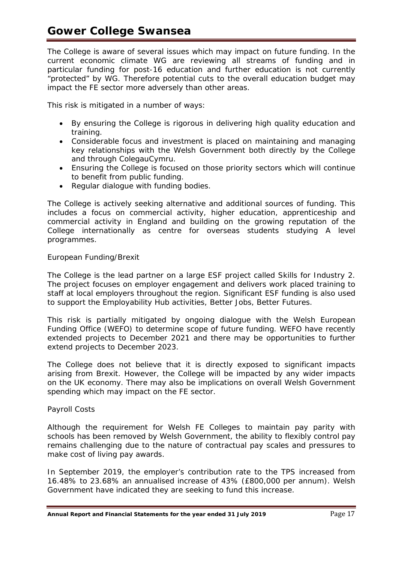The College is aware of several issues which may impact on future funding. In the current economic climate WG are reviewing all streams of funding and in particular funding for post-16 education and further education is not currently "protected" by WG. Therefore potential cuts to the overall education budget may impact the FE sector more adversely than other areas.

This risk is mitigated in a number of ways:

- By ensuring the College is rigorous in delivering high quality education and training.
- Considerable focus and investment is placed on maintaining and managing key relationships with the Welsh Government both directly by the College and through ColegauCymru.
- Ensuring the College is focused on those priority sectors which will continue to benefit from public funding.
- Regular dialogue with funding bodies.

The College is actively seeking alternative and additional sources of funding. This includes a focus on commercial activity, higher education, apprenticeship and commercial activity in England and building on the growing reputation of the College internationally as centre for overseas students studying A level programmes.

# *European Funding/Brexit*

The College is the lead partner on a large ESF project called Skills for Industry 2. The project focuses on employer engagement and delivers work placed training to staff at local employers throughout the region. Significant ESF funding is also used to support the Employability Hub activities, *Better Jobs, Better Futures*.

This risk is partially mitigated by ongoing dialogue with the Welsh European Funding Office (WEFO) to determine scope of future funding. WEFO have recently extended projects to December 2021 and there may be opportunities to further extend projects to December 2023.

The College does not believe that it is directly exposed to significant impacts arising from Brexit. However, the College will be impacted by any wider impacts on the UK economy. There may also be implications on overall Welsh Government spending which may impact on the FE sector.

# *Payroll Costs*

Although the requirement for Welsh FE Colleges to maintain pay parity with schools has been removed by Welsh Government, the ability to flexibly control pay remains challenging due to the nature of contractual pay scales and pressures to make cost of living pay awards.

In September 2019, the employer's contribution rate to the TPS increased from 16.48% to 23.68% an annualised increase of 43% (£800,000 per annum). Welsh Government have indicated they are seeking to fund this increase.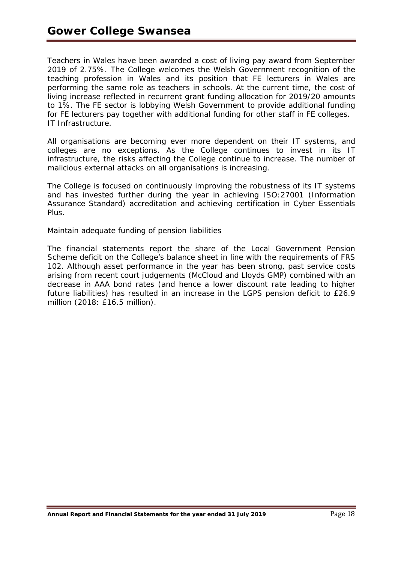Teachers in Wales have been awarded a cost of living pay award from September 2019 of 2.75%. The College welcomes the Welsh Government recognition of the teaching profession in Wales and its position that FE lecturers in Wales are performing the same role as teachers in schools. At the current time, the cost of living increase reflected in recurrent grant funding allocation for 2019/20 amounts to 1%. The FE sector is lobbying Welsh Government to provide additional funding for FE lecturers pay together with additional funding for other staff in FE colleges. *IT Infrastructure.*

All organisations are becoming ever more dependent on their IT systems, and colleges are no exceptions. As the College continues to invest in its IT infrastructure, the risks affecting the College continue to increase. The number of malicious external attacks on all organisations is increasing.

The College is focused on continuously improving the robustness of its IT systems and has invested further during the year in achieving ISO:27001 (Information Assurance Standard) accreditation and achieving certification in Cyber Essentials Plus.

# *Maintain adequate funding of pension liabilities*

The financial statements report the share of the Local Government Pension Scheme deficit on the College's balance sheet in line with the requirements of FRS 102. Although asset performance in the year has been strong, past service costs arising from recent court judgements (McCloud and Lloyds GMP) combined with an decrease in AAA bond rates (and hence a lower discount rate leading to higher future liabilities) has resulted in an increase in the LGPS pension deficit to £26.9 million (2018: £16.5 million).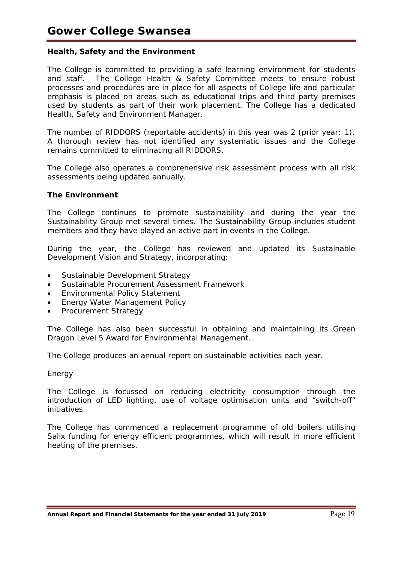# **Health, Safety and the Environment**

The College is committed to providing a safe learning environment for students and staff. The College Health & Safety Committee meets to ensure robust processes and procedures are in place for all aspects of College life and particular emphasis is placed on areas such as educational trips and third party premises used by students as part of their work placement. The College has a dedicated Health, Safety and Environment Manager.

The number of RIDDORS (reportable accidents) in this year was 2 (prior year: 1). A thorough review has not identified any systematic issues and the College remains committed to eliminating all RIDDORS.

The College also operates a comprehensive risk assessment process with all risk assessments being updated annually.

## **The Environment**

The College continues to promote sustainability and during the year the Sustainability Group met several times. The Sustainability Group includes student members and they have played an active part in events in the College.

During the year, the College has reviewed and updated its Sustainable Development Vision and Strategy, incorporating:

- Sustainable Development Strategy
- Sustainable Procurement Assessment Framework
- Environmental Policy Statement
- Energy Water Management Policy
- Procurement Strategy

The College has also been successful in obtaining and maintaining its Green Dragon Level 5 Award for Environmental Management.

The College produces an annual report on sustainable activities each year.

## *Energy*

The College is focussed on reducing electricity consumption through the introduction of LED lighting, use of voltage optimisation units and "switch-off" initiatives.

The College has commenced a replacement programme of old boilers utilising Salix funding for energy efficient programmes, which will result in more efficient heating of the premises.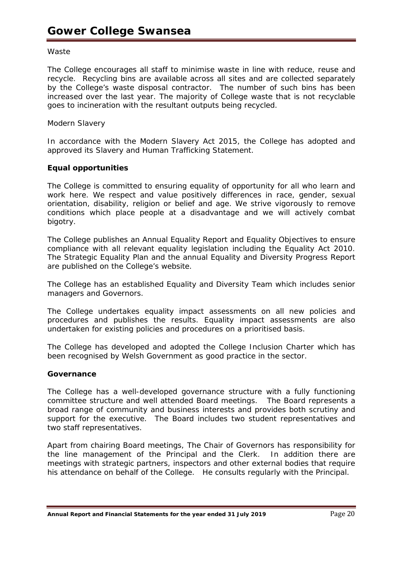## *Waste*

The College encourages all staff to minimise waste in line with reduce, reuse and recycle. Recycling bins are available across all sites and are collected separately by the College's waste disposal contractor. The number of such bins has been increased over the last year. The majority of College waste that is not recyclable goes to incineration with the resultant outputs being recycled.

# *Modern Slavery*

In accordance with the Modern Slavery Act 2015, the College has adopted and approved its Slavery and Human Trafficking Statement.

# **Equal opportunities**

The College is committed to ensuring equality of opportunity for all who learn and work here. We respect and value positively differences in race, gender, sexual orientation, disability, religion or belief and age. We strive vigorously to remove conditions which place people at a disadvantage and we will actively combat bigotry.

The College publishes an Annual Equality Report and Equality Objectives to ensure compliance with all relevant equality legislation including the Equality Act 2010. The Strategic Equality Plan and the annual Equality and Diversity Progress Report are published on the College's website.

The College has an established Equality and Diversity Team which includes senior managers and Governors.

The College undertakes equality impact assessments on all new policies and procedures and publishes the results. Equality impact assessments are also undertaken for existing policies and procedures on a prioritised basis.

The College has developed and adopted the College Inclusion Charter which has been recognised by Welsh Government as good practice in the sector.

## **Governance**

The College has a well-developed governance structure with a fully functioning committee structure and well attended Board meetings. The Board represents a broad range of community and business interests and provides both scrutiny and support for the executive. The Board includes two student representatives and two staff representatives.

Apart from chairing Board meetings, The Chair of Governors has responsibility for the line management of the Principal and the Clerk. In addition there are meetings with strategic partners, inspectors and other external bodies that require his attendance on behalf of the College. He consults regularly with the Principal.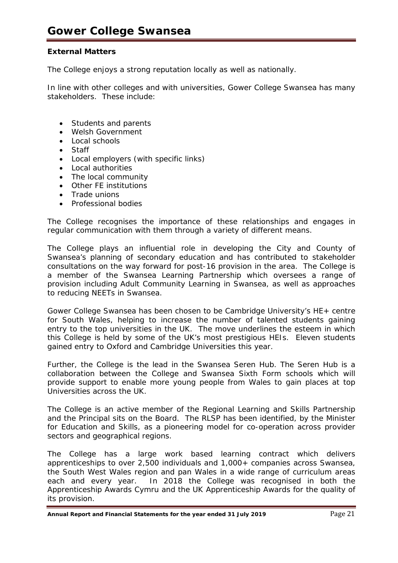# **External Matters**

The College enjoys a strong reputation locally as well as nationally.

In line with other colleges and with universities, Gower College Swansea has many stakeholders. These include:

- Students and parents
- Welsh Government
- Local schools
- Staff
- Local employers (with specific links)
- Local authorities
- The local community
- Other FE institutions
- Trade unions
- Professional bodies

The College recognises the importance of these relationships and engages in regular communication with them through a variety of different means.

The College plays an influential role in developing the City and County of Swansea's planning of secondary education and has contributed to stakeholder consultations on the way forward for post-16 provision in the area. The College is a member of the Swansea Learning Partnership which oversees a range of provision including Adult Community Learning in Swansea, as well as approaches to reducing NEETs in Swansea.

Gower College Swansea has been chosen to be Cambridge University's HE+ centre for South Wales, helping to increase the number of talented students gaining entry to the top universities in the UK. The move underlines the esteem in which this College is held by some of the UK's most prestigious HEIs. Eleven students gained entry to Oxford and Cambridge Universities this year.

Further, the College is the lead in the Swansea Seren Hub. The Seren Hub is a collaboration between the College and Swansea Sixth Form schools which will provide support to enable more young people from Wales to gain places at top Universities across the UK.

The College is an active member of the Regional Learning and Skills Partnership and the Principal sits on the Board. The RLSP has been identified, by the Minister for Education and Skills, as a pioneering model for co-operation across provider sectors and geographical regions.

The College has a large work based learning contract which delivers apprenticeships to over 2,500 individuals and 1,000+ companies across Swansea, the South West Wales region and pan Wales in a wide range of curriculum areas each and every year. In 2018 the College was recognised in both the Apprenticeship Awards Cymru and the UK Apprenticeship Awards for the quality of its provision.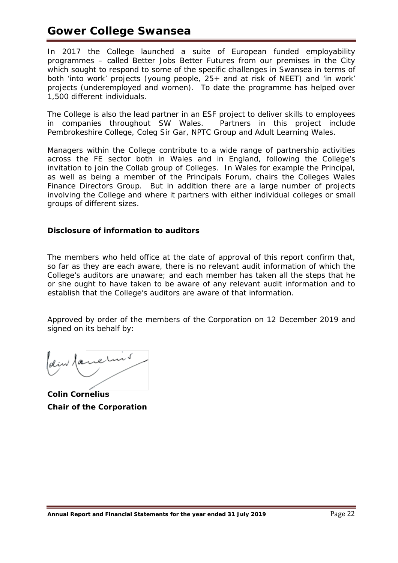# **Gower College Swansea**

In 2017 the College launched a suite of European funded employability programmes – called Better Jobs Better Futures from our premises in the City which sought to respond to some of the specific challenges in Swansea in terms of both 'into work' projects (young people, 25+ and at risk of NEET) and 'in work' projects (underemployed and women). To date the programme has helped over 1,500 different individuals.

The College is also the lead partner in an ESF project to deliver skills to employees<br>in companies throughout SW Wales. Partners in this project include in companies throughout SW Wales. Pembrokeshire College, Coleg Sir Gar, NPTC Group and Adult Learning Wales.

Managers within the College contribute to a wide range of partnership activities across the FE sector both in Wales and in England, following the College's invitation to join the Collab group of Colleges. In Wales for example the Principal, as well as being a member of the Principals Forum, chairs the Colleges Wales Finance Directors Group. But in addition there are a large number of projects involving the College and where it partners with either individual colleges or small groups of different sizes.

# **Disclosure of information to auditors**

The members who held office at the date of approval of this report confirm that, so far as they are each aware, there is no relevant audit information of which the College's auditors are unaware; and each member has taken all the steps that he or she ought to have taken to be aware of any relevant audit information and to establish that the College's auditors are aware of that information.

Approved by order of the members of the Corporation on 12 December 2019 and signed on its behalf by:

dem famelins

**Colin Cornelius Chair of the Corporation**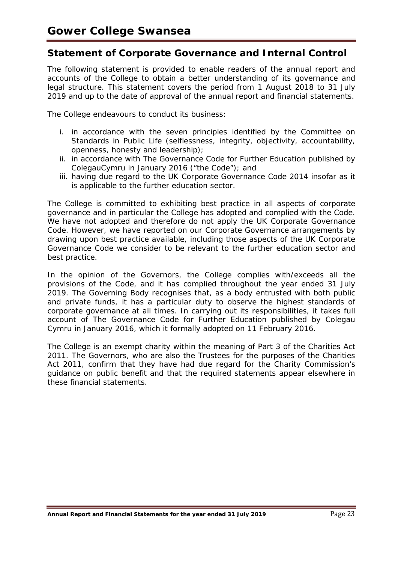# **Statement of Corporate Governance and Internal Control**

The following statement is provided to enable readers of the annual report and accounts of the College to obtain a better understanding of its governance and legal structure. This statement covers the period from 1 August 2018 to 31 July 2019 and up to the date of approval of the annual report and financial statements.

The College endeavours to conduct its business:

- i. in accordance with the seven principles identified by the Committee on Standards in Public Life (selflessness, integrity, objectivity, accountability, openness, honesty and leadership);
- ii. in accordance with The Governance Code for Further Education published by ColegauCymru in January 2016 ("the Code"); and
- iii. having due regard to the UK Corporate Governance Code 2014 insofar as it is applicable to the further education sector.

The College is committed to exhibiting best practice in all aspects of corporate governance and in particular the College has adopted and complied with the Code. We have not adopted and therefore do not apply the UK Corporate Governance Code. However, we have reported on our Corporate Governance arrangements by drawing upon best practice available, including those aspects of the UK Corporate Governance Code we consider to be relevant to the further education sector and best practice.

In the opinion of the Governors, the College complies with/exceeds all the provisions of the Code, and it has complied throughout the year ended 31 July 2019. The Governing Body recognises that, as a body entrusted with both public and private funds, it has a particular duty to observe the highest standards of corporate governance at all times. In carrying out its responsibilities, it takes full account of The Governance Code for Further Education published by Colegau Cymru in January 2016, which it formally adopted on 11 February 2016.

The College is an exempt charity within the meaning of Part 3 of the Charities Act 2011. The Governors, who are also the Trustees for the purposes of the Charities Act 2011, confirm that they have had due regard for the Charity Commission's guidance on public benefit and that the required statements appear elsewhere in these financial statements.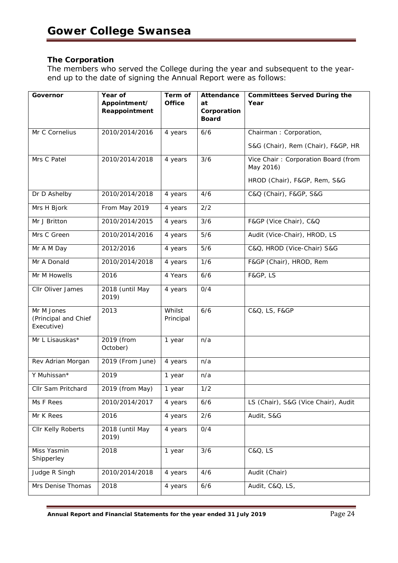# **The Corporation**

The members who served the College during the year and subsequent to the yearend up to the date of signing the Annual Report were as follows:

| Governor                                         | Year of<br>Appointment/<br>Reappointment | Term of<br><b>Office</b> | <b>Attendance</b><br>at<br>Corporation | <b>Committees Served During the</b><br>Year      |
|--------------------------------------------------|------------------------------------------|--------------------------|----------------------------------------|--------------------------------------------------|
|                                                  |                                          |                          | <b>Board</b>                           |                                                  |
| Mr C Cornelius                                   | 2010/2014/2016                           | 4 years                  | 6/6                                    | Chairman: Corporation,                           |
|                                                  |                                          |                          |                                        | S&G (Chair), Rem (Chair), F&GP, HR               |
| Mrs C Patel                                      | 2010/2014/2018                           | 4 years                  | 3/6                                    | Vice Chair: Corporation Board (from<br>May 2016) |
|                                                  |                                          |                          |                                        | HROD (Chair), F&GP, Rem, S&G                     |
| Dr D Ashelby                                     | 2010/2014/2018                           | 4 years                  | 4/6                                    | C&Q (Chair), F&GP, S&G                           |
| Mrs H Bjork                                      | From May 2019                            | 4 years                  | 2/2                                    |                                                  |
| Mr J Britton                                     | 2010/2014/2015                           | 4 years                  | 3/6                                    | F&GP (Vice Chair), C&Q                           |
| Mrs C Green                                      | 2010/2014/2016                           | 4 years                  | 5/6                                    | Audit (Vice-Chair), HROD, LS                     |
| Mr A M Day                                       | 2012/2016                                | 4 years                  | 5/6                                    | C&Q, HROD (Vice-Chair) S&G                       |
| Mr A Donald                                      | 2010/2014/2018                           | 4 years                  | 1/6                                    | F&GP (Chair), HROD, Rem                          |
| Mr M Howells                                     | 2016                                     | 4 Years                  | 6/6                                    | F&GP, LS                                         |
| Cllr Oliver James                                | 2018 (until May<br>2019)                 | 4 years                  | 0/4                                    |                                                  |
| Mr M Jones<br>(Principal and Chief<br>Executive) | 2013                                     | Whilst<br>Principal      | 6/6                                    | C&Q, LS, F&GP                                    |
| Mr L Lisauskas*                                  | 2019 (from<br>October)                   | 1 year                   | n/a                                    |                                                  |
| Rev Adrian Morgan                                | 2019 (From June)                         | 4 years                  | n/a                                    |                                                  |
| Y Muhissan*                                      | 2019                                     | 1 year                   | n/a                                    |                                                  |
| Cllr Sam Pritchard                               | 2019 (from May)                          | 1 year                   | 1/2                                    |                                                  |
| Ms F Rees                                        | 2010/2014/2017                           | 4 years                  | 6/6                                    | LS (Chair), S&G (Vice Chair), Audit              |
| Mr K Rees                                        | 2016                                     | 4 years                  | 2/6                                    | Audit, S&G                                       |
| Cllr Kelly Roberts                               | 2018 (until May<br>2019)                 | 4 years                  | 0/4                                    |                                                  |
| Miss Yasmin<br>Shipperley                        | 2018                                     | 1 year                   | 3/6                                    | C&Q, LS                                          |
| Judge R Singh                                    | 2010/2014/2018                           | 4 years                  | 4/6                                    | Audit (Chair)                                    |
| Mrs Denise Thomas                                | 2018                                     | 4 years                  | 6/6                                    | Audit, C&Q, LS,                                  |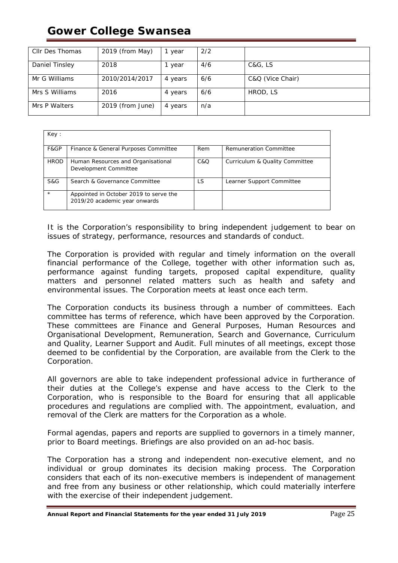# **Gower College Swansea**

| Cllr Des Thomas | 2019 (from May)  | year    | 2/2 |                  |
|-----------------|------------------|---------|-----|------------------|
| Daniel Tinsley  | 2018             | year    | 4/6 | C&G, LS          |
| Mr G Williams   | 2010/2014/2017   | 4 years | 6/6 | C&Q (Vice Chair) |
| Mrs S Williams  | 2016             | 4 years | 6/6 | HROD, LS         |
| Mrs P Walters   | 2019 (from June) | 4 years | n/a |                  |

| Key:        |                                                                         |     |                                |
|-------------|-------------------------------------------------------------------------|-----|--------------------------------|
| F&GP        | Finance & General Purposes Committee                                    | Rem | <b>Remuneration Committee</b>  |
| <b>HROD</b> | Human Resources and Organisational<br>Development Committee             | C&O | Curriculum & Quality Committee |
| S&G         | Search & Governance Committee                                           | LS  | Learner Support Committee      |
| $\star$     | Appointed in October 2019 to serve the<br>2019/20 academic year onwards |     |                                |

It is the Corporation's responsibility to bring independent judgement to bear on issues of strategy, performance, resources and standards of conduct.

The Corporation is provided with regular and timely information on the overall financial performance of the College, together with other information such as, performance against funding targets, proposed capital expenditure, quality matters and personnel related matters such as health and safety and environmental issues. The Corporation meets at least once each term.

The Corporation conducts its business through a number of committees. Each committee has terms of reference, which have been approved by the Corporation. These committees are Finance and General Purposes, Human Resources and Organisational Development, Remuneration, Search and Governance, Curriculum and Quality, Learner Support and Audit. Full minutes of all meetings, except those deemed to be confidential by the Corporation, are available from the Clerk to the Corporation.

All governors are able to take independent professional advice in furtherance of their duties at the College's expense and have access to the Clerk to the Corporation, who is responsible to the Board for ensuring that all applicable procedures and regulations are complied with. The appointment, evaluation, and removal of the Clerk are matters for the Corporation as a whole.

Formal agendas, papers and reports are supplied to governors in a timely manner, prior to Board meetings. Briefings are also provided on an ad-hoc basis.

The Corporation has a strong and independent non-executive element, and no individual or group dominates its decision making process. The Corporation considers that each of its non-executive members is independent of management and free from any business or other relationship, which could materially interfere with the exercise of their independent judgement.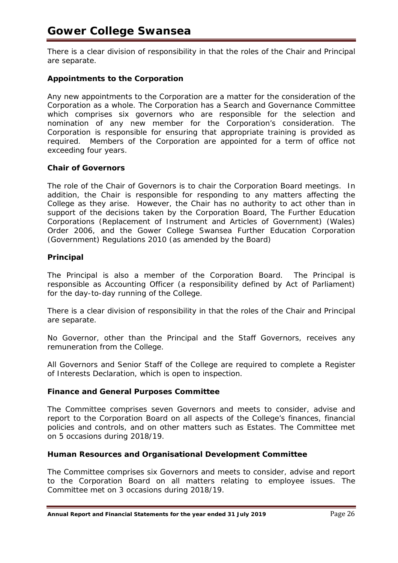There is a clear division of responsibility in that the roles of the Chair and Principal are separate.

# **Appointments to the Corporation**

Any new appointments to the Corporation are a matter for the consideration of the Corporation as a whole. The Corporation has a Search and Governance Committee which comprises six governors who are responsible for the selection and nomination of any new member for the Corporation's consideration. The Corporation is responsible for ensuring that appropriate training is provided as required. Members of the Corporation are appointed for a term of office not exceeding four years.

# **Chair of Governors**

The role of the Chair of Governors is to chair the Corporation Board meetings. In addition, the Chair is responsible for responding to any matters affecting the College as they arise. However, the Chair has no authority to act other than in support of the decisions taken by the Corporation Board, The Further Education Corporations (Replacement of Instrument and Articles of Government) (Wales) Order 2006, and the Gower College Swansea Further Education Corporation (Government) Regulations 2010 (as amended by the Board)

# **Principal**

The Principal is also a member of the Corporation Board. The Principal is responsible as Accounting Officer (a responsibility defined by Act of Parliament) for the day-to-day running of the College.

There is a clear division of responsibility in that the roles of the Chair and Principal are separate.

No Governor, other than the Principal and the Staff Governors, receives any remuneration from the College.

All Governors and Senior Staff of the College are required to complete a Register of Interests Declaration, which is open to inspection.

# **Finance and General Purposes Committee**

The Committee comprises seven Governors and meets to consider, advise and report to the Corporation Board on all aspects of the College's finances, financial policies and controls, and on other matters such as Estates. The Committee met on 5 occasions during 2018/19.

# **Human Resources and Organisational Development Committee**

The Committee comprises six Governors and meets to consider, advise and report to the Corporation Board on all matters relating to employee issues. The Committee met on 3 occasions during 2018/19.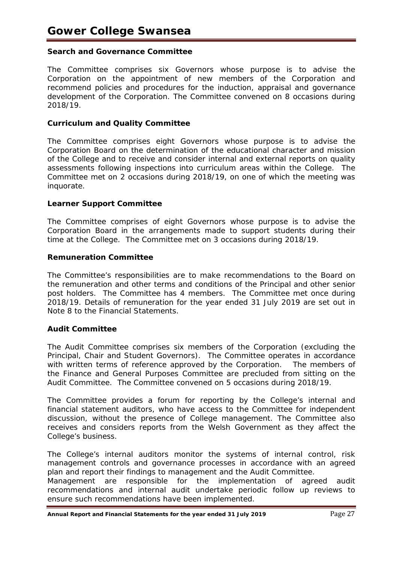# **Search and Governance Committee**

The Committee comprises six Governors whose purpose is to advise the Corporation on the appointment of new members of the Corporation and recommend policies and procedures for the induction, appraisal and governance development of the Corporation. The Committee convened on 8 occasions during 2018/19.

## **Curriculum and Quality Committee**

The Committee comprises eight Governors whose purpose is to advise the Corporation Board on the determination of the educational character and mission of the College and to receive and consider internal and external reports on quality assessments following inspections into curriculum areas within the College. The Committee met on 2 occasions during 2018/19, on one of which the meeting was inquorate.

# **Learner Support Committee**

The Committee comprises of eight Governors whose purpose is to advise the Corporation Board in the arrangements made to support students during their time at the College. The Committee met on 3 occasions during 2018/19.

# **Remuneration Committee**

The Committee's responsibilities are to make recommendations to the Board on the remuneration and other terms and conditions of the Principal and other senior post holders. The Committee has 4 members. The Committee met once during 2018/19. Details of remuneration for the year ended 31 July 2019 are set out in Note 8 to the Financial Statements.

## **Audit Committee**

The Audit Committee comprises six members of the Corporation (excluding the Principal, Chair and Student Governors). The Committee operates in accordance with written terms of reference approved by the Corporation. The members of the Finance and General Purposes Committee are precluded from sitting on the Audit Committee. The Committee convened on 5 occasions during 2018/19.

The Committee provides a forum for reporting by the College's internal and financial statement auditors, who have access to the Committee for independent discussion, without the presence of College management. The Committee also receives and considers reports from the Welsh Government as they affect the College's business.

The College's internal auditors monitor the systems of internal control, risk management controls and governance processes in accordance with an agreed plan and report their findings to management and the Audit Committee.

Management are responsible for the implementation of agreed audit recommendations and internal audit undertake periodic follow up reviews to ensure such recommendations have been implemented.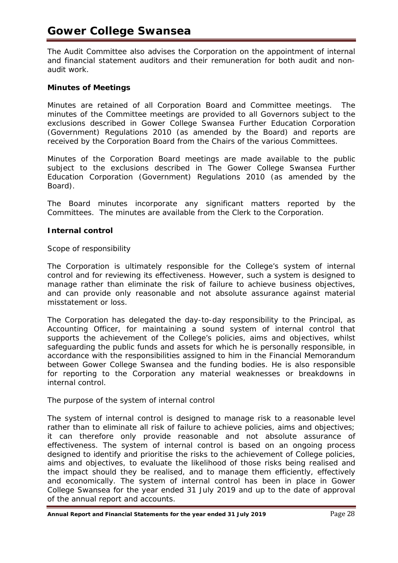# **Gower College Swansea**

The Audit Committee also advises the Corporation on the appointment of internal and financial statement auditors and their remuneration for both audit and nonaudit work.

# **Minutes of Meetings**

Minutes are retained of all Corporation Board and Committee meetings. The minutes of the Committee meetings are provided to all Governors subject to the exclusions described in Gower College Swansea Further Education Corporation (Government) Regulations 2010 (as amended by the Board) and reports are received by the Corporation Board from the Chairs of the various Committees.

Minutes of the Corporation Board meetings are made available to the public subject to the exclusions described in The Gower College Swansea Further Education Corporation (Government) Regulations 2010 (as amended by the Board).

The Board minutes incorporate any significant matters reported by the Committees. The minutes are available from the Clerk to the Corporation.

# **Internal control**

## *Scope of responsibility*

The Corporation is ultimately responsible for the College's system of internal control and for reviewing its effectiveness. However, such a system is designed to manage rather than eliminate the risk of failure to achieve business objectives, and can provide only reasonable and not absolute assurance against material misstatement or loss.

The Corporation has delegated the day-to-day responsibility to the Principal, as Accounting Officer, for maintaining a sound system of internal control that supports the achievement of the College's policies, aims and objectives, whilst safeguarding the public funds and assets for which he is personally responsible, in accordance with the responsibilities assigned to him in the Financial Memorandum between Gower College Swansea and the funding bodies. He is also responsible for reporting to the Corporation any material weaknesses or breakdowns in internal control.

# *The purpose of the system of internal control*

The system of internal control is designed to manage risk to a reasonable level rather than to eliminate all risk of failure to achieve policies, aims and objectives; it can therefore only provide reasonable and not absolute assurance of effectiveness. The system of internal control is based on an ongoing process designed to identify and prioritise the risks to the achievement of College policies, aims and objectives, to evaluate the likelihood of those risks being realised and the impact should they be realised, and to manage them efficiently, effectively and economically. The system of internal control has been in place in Gower College Swansea for the year ended 31 July 2019 and up to the date of approval of the annual report and accounts.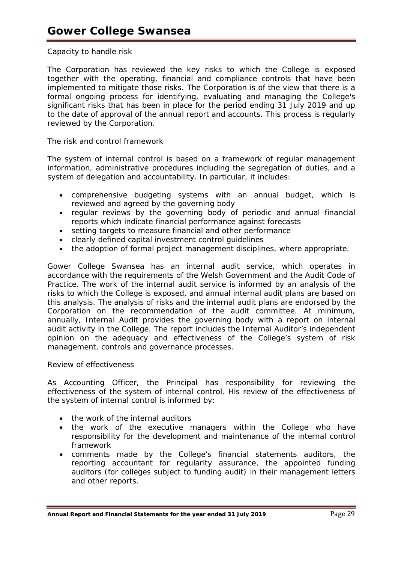# *Capacity to handle risk*

The Corporation has reviewed the key risks to which the College is exposed together with the operating, financial and compliance controls that have been implemented to mitigate those risks. The Corporation is of the view that there is a formal ongoing process for identifying, evaluating and managing the College's significant risks that has been in place for the period ending 31 July 2019 and up to the date of approval of the annual report and accounts. This process is regularly reviewed by the Corporation.

# *The risk and control framework*

The system of internal control is based on a framework of regular management information, administrative procedures including the segregation of duties, and a system of delegation and accountability. In particular, it includes:

- comprehensive budgeting systems with an annual budget, which is reviewed and agreed by the governing body
- regular reviews by the governing body of periodic and annual financial reports which indicate financial performance against forecasts
- setting targets to measure financial and other performance
- clearly defined capital investment control guidelines
- the adoption of formal project management disciplines, where appropriate.

Gower College Swansea has an internal audit service, which operates in accordance with the requirements of the Welsh Government and the Audit Code of Practice. The work of the internal audit service is informed by an analysis of the risks to which the College is exposed, and annual internal audit plans are based on this analysis. The analysis of risks and the internal audit plans are endorsed by the Corporation on the recommendation of the audit committee. At minimum, annually, Internal Audit provides the governing body with a report on internal audit activity in the College. The report includes the Internal Auditor's independent opinion on the adequacy and effectiveness of the College's system of risk management, controls and governance processes.

## *Review of effectiveness*

As Accounting Officer, the Principal has responsibility for reviewing the effectiveness of the system of internal control. His review of the effectiveness of the system of internal control is informed by:

- the work of the internal auditors
- the work of the executive managers within the College who have responsibility for the development and maintenance of the internal control framework
- comments made by the College's financial statements auditors, the reporting accountant for regularity assurance, the appointed funding auditors (for colleges subject to funding audit) in their management letters and other reports.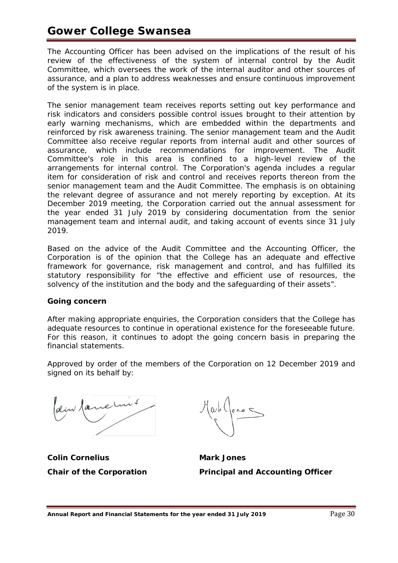# **Gower College Swansea**

The Accounting Officer has been advised on the implications of the result of his review of the effectiveness of the system of internal control by the Audit Committee, which oversees the work of the internal auditor and other sources of assurance, and a plan to address weaknesses and ensure continuous improvement of the system is in place.

The senior management team receives reports setting out key performance and risk indicators and considers possible control issues brought to their attention by early warning mechanisms, which are embedded within the departments and reinforced by risk awareness training. The senior management team and the Audit Committee also receive regular reports from internal audit and other sources of assurance, which include recommendations for improvement. The Audit Committee's role in this area is confined to a high-level review of the arrangements for internal control. The Corporation's agenda includes a regular item for consideration of risk and control and receives reports thereon from the senior management team and the Audit Committee. The emphasis is on obtaining the relevant degree of assurance and not merely reporting by exception. At its December 2019 meeting, the Corporation carried out the annual assessment for the year ended 31 July 2019 by considering documentation from the senior management team and internal audit, and taking account of events since 31 July 2019.

Based on the advice of the Audit Committee and the Accounting Officer, the Corporation is of the opinion that the College has an adequate and effective framework for governance, risk management and control, and has fulfilled its statutory responsibility for "*the effective and efficient use of resources, the solvency of the institution and the body and the safeguarding of their assets*".

# **Going concern**

After making appropriate enquiries, the Corporation considers that the College has adequate resources to continue in operational existence for the foreseeable future. For this reason, it continues to adopt the going concern basis in preparing the financial statements.

Approved by order of the members of the Corporation on 12 December 2019 and signed on its behalf by:

deux faire une

**Colin Cornelius Coling Coling Coling Coling Cornelius** 

**Chair of the Corporation Principal and Accounting Officer**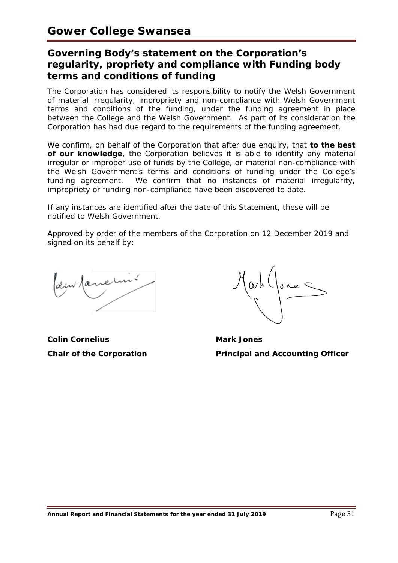# **Governing Body's statement on the Corporation's regularity, propriety and compliance with Funding body terms and conditions of funding**

The Corporation has considered its responsibility to notify the Welsh Government of material irregularity, impropriety and non-compliance with Welsh Government terms and conditions of the funding, under the funding agreement in place between the College and the Welsh Government. As part of its consideration the Corporation has had due regard to the requirements of the funding agreement.

We confirm, on behalf of the Corporation that after due enquiry, that **to the best of our knowledge**, the Corporation believes it is able to identify any material irregular or improper use of funds by the College, or material non-compliance with the Welsh Government's terms and conditions of funding under the College's funding agreement. We confirm that no instances of material irregularity, impropriety or funding non-compliance have been discovered to date.

If any instances are identified after the date of this Statement, these will be notified to Welsh Government.

Approved by order of the members of the Corporation on 12 December 2019 and signed on its behalf by:

dem fanches

**Colin Cornelius Mark Jones** 

 $\alpha^{h}$  (  $\alpha^{h}$ 

**Chair of the Corporation Principal and Accounting Officer**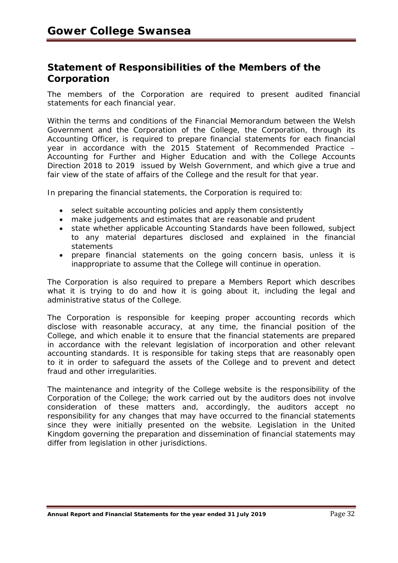# **Statement of Responsibilities of the Members of the Corporation**

The members of the Corporation are required to present audited financial statements for each financial year.

Within the terms and conditions of the Financial Memorandum between the Welsh Government and the Corporation of the College, the Corporation, through its Accounting Officer, is required to prepare financial statements for each financial year in accordance with the *2015 Statement of Recommended Practice – Accounting for Further and Higher Education* and with the *College Accounts Direction 2018 to 2019* issued by Welsh Government, and which give a true and fair view of the state of affairs of the College and the result for that year.

In preparing the financial statements, the Corporation is required to:

- select suitable accounting policies and apply them consistently
- make judgements and estimates that are reasonable and prudent
- state whether applicable Accounting Standards have been followed, subject to any material departures disclosed and explained in the financial statements
- prepare financial statements on the going concern basis, unless it is inappropriate to assume that the College will continue in operation.

The Corporation is also required to prepare a Members Report which describes what it is trying to do and how it is going about it, including the legal and administrative status of the College.

The Corporation is responsible for keeping proper accounting records which disclose with reasonable accuracy, at any time, the financial position of the College, and which enable it to ensure that the financial statements are prepared in accordance with the relevant legislation of incorporation and other relevant accounting standards. It is responsible for taking steps that are reasonably open to it in order to safeguard the assets of the College and to prevent and detect fraud and other irregularities.

The maintenance and integrity of the College website is the responsibility of the Corporation of the College; the work carried out by the auditors does not involve consideration of these matters and, accordingly, the auditors accept no responsibility for any changes that may have occurred to the financial statements since they were initially presented on the website. Legislation in the United Kingdom governing the preparation and dissemination of financial statements may differ from legislation in other jurisdictions.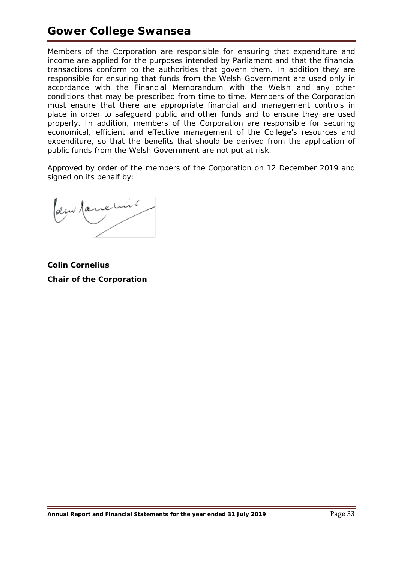# **Gower College Swansea**

Members of the Corporation are responsible for ensuring that expenditure and income are applied for the purposes intended by Parliament and that the financial transactions conform to the authorities that govern them. In addition they are responsible for ensuring that funds from the Welsh Government are used only in accordance with the Financial Memorandum with the Welsh and any other conditions that may be prescribed from time to time. Members of the Corporation must ensure that there are appropriate financial and management controls in place in order to safeguard public and other funds and to ensure they are used properly. In addition, members of the Corporation are responsible for securing economical, efficient and effective management of the College's resources and expenditure, so that the benefits that should be derived from the application of public funds from the Welsh Government are not put at risk.

Approved by order of the members of the Corporation on 12 December 2019 and signed on its behalf by:

dem famelins

**Colin Cornelius Chair of the Corporation**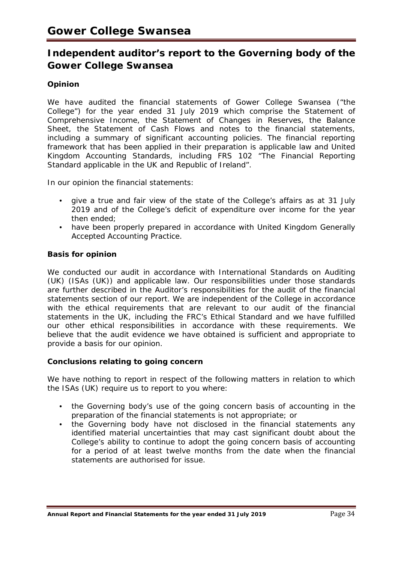# **Independent auditor's report to the Governing body of the Gower College Swansea**

# **Opinion**

We have audited the financial statements of Gower College Swansea ("the College") for the year ended 31 July 2019 which comprise the Statement of Comprehensive Income, the Statement of Changes in Reserves, the Balance Sheet, the Statement of Cash Flows and notes to the financial statements, including a summary of significant accounting policies. The financial reporting framework that has been applied in their preparation is applicable law and United Kingdom Accounting Standards, including FRS 102 "The Financial Reporting Standard applicable in the UK and Republic of Ireland".

In our opinion the financial statements:

- give a true and fair view of the state of the College's affairs as at 31 July 2019 and of the College's deficit of expenditure over income for the year then ended;
- have been properly prepared in accordance with United Kingdom Generally Accepted Accounting Practice.

# **Basis for opinion**

We conducted our audit in accordance with International Standards on Auditing (UK) (ISAs (UK)) and applicable law. Our responsibilities under those standards are further described in the Auditor's responsibilities for the audit of the financial statements section of our report. We are independent of the College in accordance with the ethical requirements that are relevant to our audit of the financial statements in the UK, including the FRC's Ethical Standard and we have fulfilled our other ethical responsibilities in accordance with these requirements. We believe that the audit evidence we have obtained is sufficient and appropriate to provide a basis for our opinion.

## **Conclusions relating to going concern**

We have nothing to report in respect of the following matters in relation to which the ISAs (UK) require us to report to you where:

- the Governing body's use of the going concern basis of accounting in the preparation of the financial statements is not appropriate; or
- the Governing body have not disclosed in the financial statements any identified material uncertainties that may cast significant doubt about the College's ability to continue to adopt the going concern basis of accounting for a period of at least twelve months from the date when the financial statements are authorised for issue.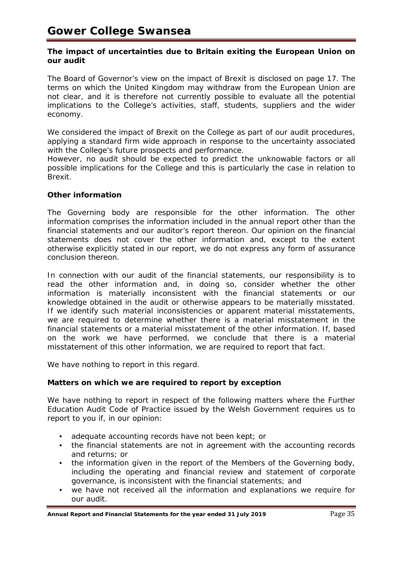## **The impact of uncertainties due to Britain exiting the European Union on our audit**

The Board of Governor's view on the impact of Brexit is disclosed on page 17. The terms on which the United Kingdom may withdraw from the European Union are not clear, and it is therefore not currently possible to evaluate all the potential implications to the College's activities, staff, students, suppliers and the wider economy.

We considered the impact of Brexit on the College as part of our audit procedures, applying a standard firm wide approach in response to the uncertainty associated with the College's future prospects and performance.

However, no audit should be expected to predict the unknowable factors or all possible implications for the College and this is particularly the case in relation to Brexit.

# **Other information**

The Governing body are responsible for the other information. The other information comprises the information included in the annual report other than the financial statements and our auditor's report thereon. Our opinion on the financial statements does not cover the other information and, except to the extent otherwise explicitly stated in our report, we do not express any form of assurance conclusion thereon.

In connection with our audit of the financial statements, our responsibility is to read the other information and, in doing so, consider whether the other information is materially inconsistent with the financial statements or our knowledge obtained in the audit or otherwise appears to be materially misstated. If we identify such material inconsistencies or apparent material misstatements, we are required to determine whether there is a material misstatement in the financial statements or a material misstatement of the other information. If, based on the work we have performed, we conclude that there is a material misstatement of this other information, we are required to report that fact.

We have nothing to report in this regard.

## **Matters on which we are required to report by exception**

We have nothing to report in respect of the following matters where the Further Education Audit Code of Practice issued by the Welsh Government requires us to report to you if, in our opinion:

- adequate accounting records have not been kept; or
- the financial statements are not in agreement with the accounting records and returns; or
- the information given in the report of the Members of the Governing body, including the operating and financial review and statement of corporate governance, is inconsistent with the financial statements; and
- we have not received all the information and explanations we require for our audit.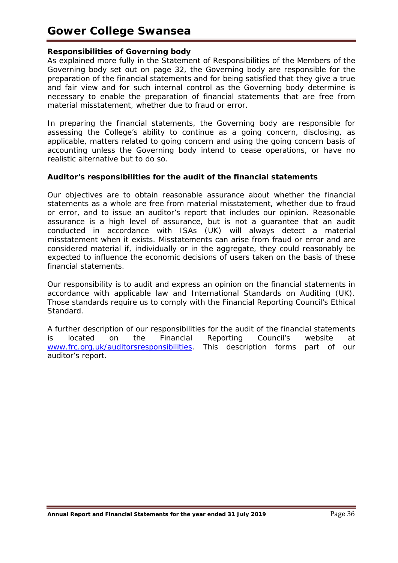# **Gower College Swansea**

# **Responsibilities of Governing body**

As explained more fully in the Statement of Responsibilities of the Members of the Governing body set out on page 32, the Governing body are responsible for the preparation of the financial statements and for being satisfied that they give a true and fair view and for such internal control as the Governing body determine is necessary to enable the preparation of financial statements that are free from material misstatement, whether due to fraud or error.

In preparing the financial statements, the Governing body are responsible for assessing the College's ability to continue as a going concern, disclosing, as applicable, matters related to going concern and using the going concern basis of accounting unless the Governing body intend to cease operations, or have no realistic alternative but to do so.

# **Auditor's responsibilities for the audit of the financial statements**

Our objectives are to obtain reasonable assurance about whether the financial statements as a whole are free from material misstatement, whether due to fraud or error, and to issue an auditor's report that includes our opinion. Reasonable assurance is a high level of assurance, but is not a guarantee that an audit conducted in accordance with ISAs (UK) will always detect a material misstatement when it exists. Misstatements can arise from fraud or error and are considered material if, individually or in the aggregate, they could reasonably be expected to influence the economic decisions of users taken on the basis of these financial statements.

Our responsibility is to audit and express an opinion on the financial statements in accordance with applicable law and International Standards on Auditing (UK). Those standards require us to comply with the Financial Reporting Council's Ethical Standard.

A further description of our responsibilities for the audit of the financial statements is located on the Financial Reporting Council's website at [www.frc.org.uk/auditorsresponsibilities.](http://www.frc.org.uk/auditorsresponsibilities) This description forms part of our auditor's report.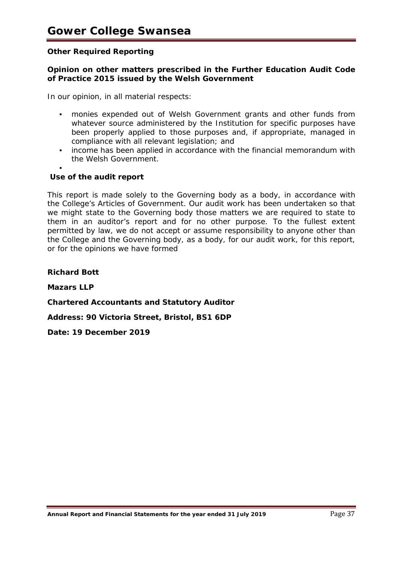# **Other Required Reporting**

# **Opinion on other matters prescribed in the Further Education Audit Code of Practice 2015 issued by the Welsh Government**

In our opinion, in all material respects:

- monies expended out of Welsh Government grants and other funds from whatever source administered by the Institution for specific purposes have been properly applied to those purposes and, if appropriate, managed in compliance with all relevant legislation; and
- income has been applied in accordance with the financial memorandum with the Welsh Government.
- •

# **Use of the audit report**

This report is made solely to the Governing body as a body, in accordance with the College's Articles of Government. Our audit work has been undertaken so that we might state to the Governing body those matters we are required to state to them in an auditor's report and for no other purpose. To the fullest extent permitted by law, we do not accept or assume responsibility to anyone other than the College and the Governing body, as a body, for our audit work, for this report, or for the opinions we have formed

**Richard Bott**

**Mazars LLP**

**Chartered Accountants and Statutory Auditor**

**Address: 90 Victoria Street, Bristol, BS1 6DP**

**Date: 19 December 2019**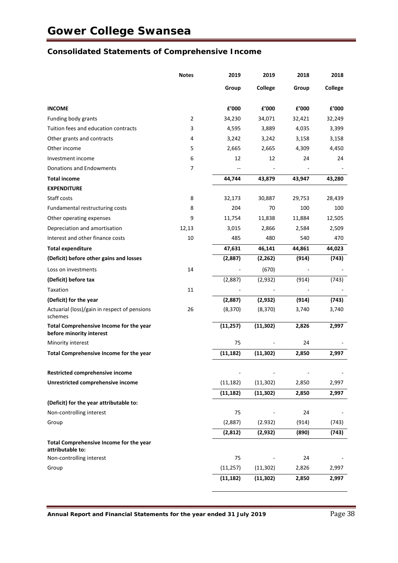# **Consolidated Statements of Comprehensive Income**

|                                                                     | <b>Notes</b> | 2019                           | 2019      | 2018                     | 2018           |
|---------------------------------------------------------------------|--------------|--------------------------------|-----------|--------------------------|----------------|
|                                                                     |              | Group                          | College   | Group                    | <b>College</b> |
| <b>INCOME</b>                                                       |              | $\boldsymbol{\mathsf{f}}'$ 000 | £'000     | £'000                    | f'000          |
| Funding body grants                                                 | 2            | 34,230                         | 34,071    | 32,421                   | 32,249         |
| Tuition fees and education contracts                                | 3            | 4,595                          | 3,889     | 4,035                    | 3,399          |
| Other grants and contracts                                          | 4            | 3,242                          | 3,242     | 3,158                    | 3,158          |
| Other income                                                        | 5            | 2,665                          | 2,665     | 4,309                    | 4,450          |
| Investment income                                                   | 6            | 12                             | 12        | 24                       | 24             |
| Donations and Endowments                                            | 7            |                                |           | $\blacksquare$           |                |
| <b>Total income</b>                                                 |              | 44,744                         | 43,879    | 43,947                   | 43,280         |
| <b>EXPENDITURE</b>                                                  |              |                                |           |                          |                |
| Staff costs                                                         | 8            | 32,173                         | 30,887    | 29,753                   | 28,439         |
| Fundamental restructuring costs                                     | 8            | 204                            | 70        | 100                      | 100            |
| Other operating expenses                                            | 9            | 11,754                         | 11,838    | 11,884                   | 12,505         |
| Depreciation and amortisation                                       | 12,13        | 3,015                          | 2,866     | 2,584                    | 2,509          |
| Interest and other finance costs                                    | 10           | 485                            | 480       | 540                      | 470            |
| <b>Total expenditure</b>                                            |              | 47,631                         | 46,141    | 44,861                   | 44,023         |
| (Deficit) before other gains and losses                             |              | (2,887)                        | (2, 262)  | (914)                    | (743)          |
| Loss on investments                                                 | 14           |                                | (670)     |                          |                |
| (Deficit) before tax                                                |              | (2,887)                        | (2,932)   | (914)                    | (743)          |
| Taxation                                                            | 11           |                                |           |                          |                |
| (Deficit) for the year                                              |              | (2,887)                        | (2,932)   | (914)                    | (743)          |
| Actuarial (loss)/gain in respect of pensions<br>schemes             | 26           | (8, 370)                       | (8, 370)  | 3,740                    | 3,740          |
| Total Comprehensive Income for the year<br>before minority interest |              | (11, 257)                      | (11, 302) | 2,826                    | 2,997          |
| Minority interest                                                   |              | 75                             |           | 24                       |                |
| Total Comprehensive Income for the year                             |              | (11, 182)                      | (11, 302) | 2,850                    | 2,997          |
| Restricted comprehensive income                                     |              |                                |           | $\overline{\phantom{a}}$ |                |
| Unrestricted comprehensive income                                   |              | (11, 182)                      | (11, 302) | 2,850                    | 2,997          |
|                                                                     |              | (11, 182)                      | (11, 302) | 2,850                    | 2,997          |
| (Deficit) for the year attributable to:                             |              |                                |           |                          |                |
| Non-controlling interest                                            |              | 75                             |           | 24                       |                |
| Group                                                               |              | (2,887)                        | (2.932)   | (914)                    | (743)          |
|                                                                     |              | (2,812)                        | (2, 932)  | (890)                    | (743)          |
| Total Comprehensive Income for the year<br>attributable to:         |              |                                |           |                          |                |
| Non-controlling interest                                            |              | 75                             |           | 24                       |                |
| Group                                                               |              | (11, 257)                      | (11, 302) | 2,826                    | 2,997          |
|                                                                     |              | (11, 182)                      | (11, 302) | 2,850                    | 2,997          |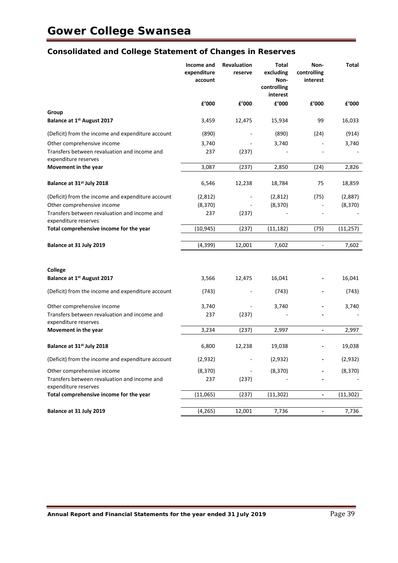# **Consolidated and College Statement of Changes in Reserves**

|                                                                      | Income and<br>expenditure<br>account | <b>Revaluation</b><br>reserve | Total<br>excluding<br>Non-<br>controlling<br>interest | Non-<br>controlling<br>interest | Total     |
|----------------------------------------------------------------------|--------------------------------------|-------------------------------|-------------------------------------------------------|---------------------------------|-----------|
|                                                                      | £'000                                | £'000                         | £'000                                                 | £'000                           | £'000     |
| Group                                                                |                                      |                               |                                                       |                                 |           |
| Balance at 1st August 2017                                           | 3,459                                | 12,475                        | 15,934                                                | 99                              | 16,033    |
| (Deficit) from the income and expenditure account                    | (890)                                |                               | (890)                                                 | (24)                            | (914)     |
| Other comprehensive income                                           | 3,740                                |                               | 3,740                                                 |                                 | 3,740     |
| Transfers between revaluation and income and<br>expenditure reserves | 237                                  | (237)                         |                                                       |                                 |           |
| Movement in the year                                                 | 3,087                                | (237)                         | 2,850                                                 | (24)                            | 2,826     |
| Balance at 31 <sup>st</sup> July 2018                                | 6,546                                | 12,238                        | 18,784                                                | 75                              | 18,859    |
| (Deficit) from the income and expenditure account                    | (2,812)                              |                               | (2,812)                                               | (75)                            | (2,887)   |
| Other comprehensive income                                           | (8, 370)                             |                               | (8, 370)                                              |                                 | (8, 370)  |
| Transfers between revaluation and income and<br>expenditure reserves | 237                                  | (237)                         |                                                       |                                 |           |
| Total comprehensive income for the year                              | (10, 945)                            | (237)                         | (11, 182)                                             | (75)                            | (11, 257) |
| Balance at 31 July 2019                                              | (4, 399)                             | 12,001                        | 7,602                                                 | $\Box$                          | 7,602     |
|                                                                      |                                      |                               |                                                       |                                 |           |
| College                                                              |                                      |                               |                                                       |                                 |           |
| Balance at 1st August 2017                                           | 3,566                                | 12,475                        | 16,041                                                |                                 | 16,041    |
| (Deficit) from the income and expenditure account                    | (743)                                |                               | (743)                                                 |                                 | (743)     |
| Other comprehensive income                                           | 3,740                                |                               | 3,740                                                 |                                 | 3,740     |
| Transfers between revaluation and income and<br>expenditure reserves | 237                                  | (237)                         |                                                       |                                 |           |
| Movement in the year                                                 | 3,234                                | (237)                         | 2,997                                                 | $\overline{\phantom{a}}$        | 2,997     |
| Balance at 31 <sup>st</sup> July 2018                                | 6,800                                | 12,238                        | 19,038                                                |                                 | 19,038    |
| (Deficit) from the income and expenditure account                    | (2,932)                              |                               | (2,932)                                               |                                 | (2,932)   |
| Other comprehensive income                                           | (8, 370)                             |                               | (8, 370)                                              |                                 | (8, 370)  |
| Transfers between revaluation and income and<br>expenditure reserves | 237                                  | (237)                         |                                                       |                                 |           |
| Total comprehensive income for the year                              | (11,065)                             | (237)                         | (11, 302)                                             | $\overline{\phantom{a}}$        | (11, 302) |
| Balance at 31 July 2019                                              | (4, 265)                             | 12,001                        | 7,736                                                 | $\overline{\phantom{a}}$        | 7,736     |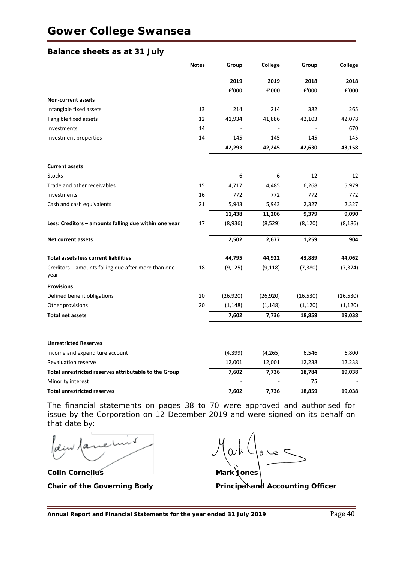#### **Balance sheets as at 31 July**

|                                                             | <b>Notes</b> | Group     | College   | Group        | College   |
|-------------------------------------------------------------|--------------|-----------|-----------|--------------|-----------|
|                                                             |              | 2019      | 2019      | 2018         | 2018      |
|                                                             |              | £'000     | £'000     | £'000        | f'000     |
| <b>Non-current assets</b>                                   |              |           |           |              |           |
| Intangible fixed assets                                     | 13           | 214       | 214       | 382          | 265       |
| Tangible fixed assets                                       | 12           | 41,934    | 41,886    | 42,103       | 42,078    |
| Investments                                                 | 14           |           |           |              | 670       |
| Investment properties                                       | 14           | 145       | 145       | 145          | 145       |
|                                                             |              | 42,293    | 42,245    | 42,630       | 43,158    |
| <b>Current assets</b>                                       |              |           |           |              |           |
| <b>Stocks</b>                                               |              | 6         | 6         | 12           | 12        |
| Trade and other receivables                                 | 15           | 4,717     | 4,485     | 6,268        | 5,979     |
| Investments                                                 | 16           | 772       | 772       | 772          | 772       |
| Cash and cash equivalents                                   | 21           | 5,943     | 5,943     | 2,327        | 2,327     |
|                                                             |              | 11,438    | 11,206    | 9,379        | 9,090     |
| Less: Creditors – amounts falling due within one year       | 17           | (8,936)   | (8,529)   | (8, 120)     | (8, 186)  |
| <b>Net current assets</b>                                   |              | 2,502     | 2,677     | 1,259        | 904       |
| <b>Total assets less current liabilities</b>                |              | 44,795    | 44,922    | 43,889       | 44,062    |
| Creditors - amounts falling due after more than one<br>year | 18           | (9, 125)  | (9, 118)  | (7, 380)     | (7, 374)  |
| <b>Provisions</b>                                           |              |           |           |              |           |
| Defined benefit obligations                                 | 20           | (26, 920) | (26, 920) | (16, 530)    | (16, 530) |
| Other provisions                                            | 20           | (1, 148)  | (1, 148)  | (1, 120)     | (1, 120)  |
| <b>Total net assets</b>                                     |              | 7,602     | 7,736     | 18,859       | 19,038    |
|                                                             |              |           |           |              |           |
| <b>Unrestricted Reserves</b>                                |              |           |           |              |           |
| Income and expenditure account                              |              | (4, 399)  | (4, 265)  | 6,546        | 6,800     |
| <b>Revaluation reserve</b>                                  |              | 12,001    | 12,001    | 12,238       | 12,238    |
| Total unrestricted reserves attributable to the Group       |              | 7,602     | 7,736     | 18,784<br>75 | 19,038    |
| Minority interest<br><b>Total unrestricted reserves</b>     |              |           |           |              | 19,038    |
|                                                             |              | 7,602     | 7,736     | 18,859       |           |

The financial statements on pages 38 to 70 were approved and authorised for issue by the Corporation on 12 December 2019 and were signed on its behalf on that date by:

**Colin Cornelius Mark Jones**

 $\omega$  $\circ$   $\sim$ 

**Chair of the Governing Body Principal Accounting Officer**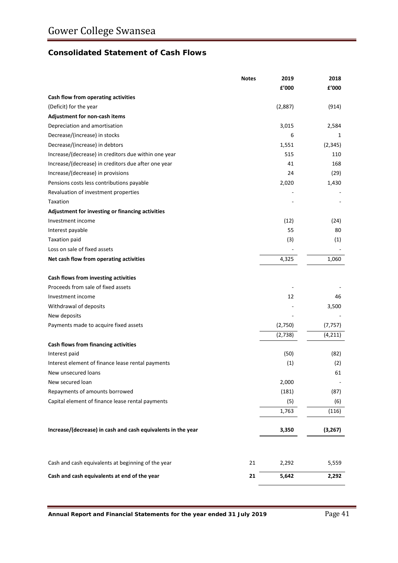# **Consolidated Statement of Cash Flows**

|                                                              | <b>Notes</b> | 2019    | 2018     |
|--------------------------------------------------------------|--------------|---------|----------|
|                                                              |              | £'000   | £'000    |
| Cash flow from operating activities                          |              |         |          |
| (Deficit) for the year                                       |              | (2,887) | (914)    |
| Adjustment for non-cash items                                |              |         |          |
| Depreciation and amortisation                                |              | 3,015   | 2,584    |
| Decrease/(increase) in stocks                                |              | 6       | 1        |
| Decrease/(increase) in debtors                               |              | 1,551   | (2, 345) |
| Increase/(decrease) in creditors due within one year         |              | 515     | 110      |
| Increase/(decrease) in creditors due after one year          |              | 41      | 168      |
| Increase/(decrease) in provisions                            |              | 24      | (29)     |
| Pensions costs less contributions payable                    |              | 2,020   | 1,430    |
| Revaluation of investment properties                         |              |         |          |
| Taxation                                                     |              |         |          |
| Adjustment for investing or financing activities             |              |         |          |
| Investment income                                            |              | (12)    | (24)     |
| Interest payable                                             |              | 55      | 80       |
| <b>Taxation paid</b>                                         |              | (3)     | (1)      |
| Loss on sale of fixed assets                                 |              |         |          |
| Net cash flow from operating activities                      |              | 4,325   | 1,060    |
| Cash flows from investing activities                         |              |         |          |
| Proceeds from sale of fixed assets                           |              |         |          |
| Investment income                                            |              | 12      | 46       |
| Withdrawal of deposits                                       |              |         | 3,500    |
| New deposits                                                 |              |         |          |
| Payments made to acquire fixed assets                        |              | (2,750) | (7, 757) |
|                                                              |              | (2,738) | (4, 211) |
| Cash flows from financing activities                         |              |         |          |
| Interest paid                                                |              | (50)    | (82)     |
| Interest element of finance lease rental payments            |              | (1)     | (2)      |
| New unsecured loans                                          |              |         | 61       |
| New secured loan                                             |              | 2,000   |          |
| Repayments of amounts borrowed                               |              | (181)   | (87)     |
| Capital element of finance lease rental payments             |              | (5)     | (6)      |
|                                                              |              | 1,763   | (116)    |
|                                                              |              |         |          |
| Increase/(decrease) in cash and cash equivalents in the year |              | 3,350   | (3, 267) |
|                                                              |              |         |          |
| Cash and cash equivalents at beginning of the year           | 21           | 2,292   | 5,559    |
| Cash and cash equivalents at end of the year                 | 21           | 5,642   | 2,292    |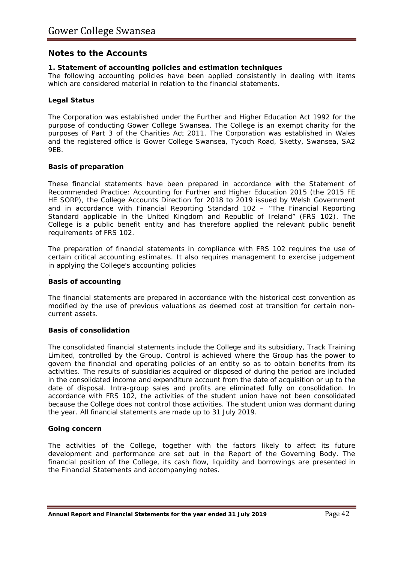# **Notes to the Accounts**

#### **1. Statement of accounting policies and estimation techniques**

The following accounting policies have been applied consistently in dealing with items which are considered material in relation to the financial statements.

#### **Legal Status**

The Corporation was established under the Further and Higher Education Act 1992 for the purpose of conducting Gower College Swansea. The College is an exempt charity for the purposes of Part 3 of the Charities Act 2011. The Corporation was established in Wales and the registered office is Gower College Swansea, Tycoch Road, Sketty, Swansea, SA2 9EB.

#### **Basis of preparation**

These financial statements have been prepared in accordance with the *Statement of Recommended Practice: Accounting for Further and Higher Education 2015* (the 2015 FE HE SORP), the *College Accounts Direction for 2018 to 2019* issued by Welsh Government and in accordance with Financial Reporting Standard 102 – *"The Financial Reporting Standard applicable in the United Kingdom and Republic of Ireland"* (FRS 102). The College is a public benefit entity and has therefore applied the relevant public benefit requirements of FRS 102.

The preparation of financial statements in compliance with FRS 102 requires the use of certain critical accounting estimates. It also requires management to exercise judgement in applying the College's accounting policies

#### **Basis of accounting**

.

The financial statements are prepared in accordance with the historical cost convention as modified by the use of previous valuations as deemed cost at transition for certain noncurrent assets.

#### **Basis of consolidation**

The consolidated financial statements include the College and its subsidiary, Track Training Limited, controlled by the Group. Control is achieved where the Group has the power to govern the financial and operating policies of an entity so as to obtain benefits from its activities. The results of subsidiaries acquired or disposed of during the period are included in the consolidated income and expenditure account from the date of acquisition or up to the date of disposal. Intra-group sales and profits are eliminated fully on consolidation. In accordance with FRS 102, the activities of the student union have not been consolidated because the College does not control those activities. The student union was dormant during the year. All financial statements are made up to 31 July 2019.

#### **Going concern**

The activities of the College, together with the factors likely to affect its future development and performance are set out in the Report of the Governing Body. The financial position of the College, its cash flow, liquidity and borrowings are presented in the Financial Statements and accompanying notes.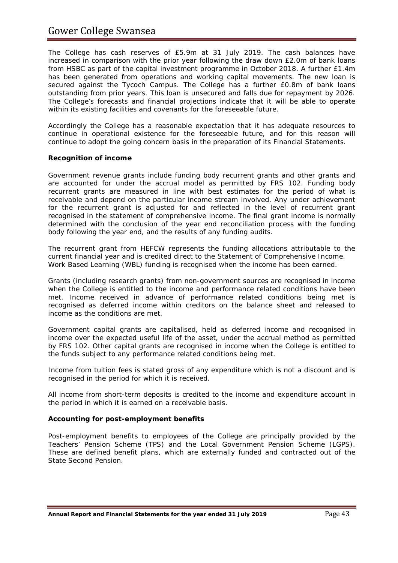The College has cash reserves of £5.9m at 31 July 2019. The cash balances have increased in comparison with the prior year following the draw down £2.0m of bank loans from HSBC as part of the capital investment programme in October 2018. A further £1.4m has been generated from operations and working capital movements. The new loan is secured against the Tycoch Campus. The College has a further £0.8m of bank loans outstanding from prior years. This loan is unsecured and falls due for repayment by 2026. The College's forecasts and financial projections indicate that it will be able to operate within its existing facilities and covenants for the foreseeable future.

Accordingly the College has a reasonable expectation that it has adequate resources to continue in operational existence for the foreseeable future, and for this reason will continue to adopt the going concern basis in the preparation of its Financial Statements.

## **Recognition of income**

Government revenue grants include funding body recurrent grants and other grants and are accounted for under the accrual model as permitted by FRS 102. Funding body recurrent grants are measured in line with best estimates for the period of what is receivable and depend on the particular income stream involved. Any under achievement for the recurrent grant is adjusted for and reflected in the level of recurrent grant recognised in the statement of comprehensive income. The final grant income is normally determined with the conclusion of the year end reconciliation process with the funding body following the year end, and the results of any funding audits.

The recurrent grant from HEFCW represents the funding allocations attributable to the current financial year and is credited direct to the Statement of Comprehensive Income. Work Based Learning (WBL) funding is recognised when the income has been earned.

Grants (including research grants) from non-government sources are recognised in income when the College is entitled to the income and performance related conditions have been met. Income received in advance of performance related conditions being met is recognised as deferred income within creditors on the balance sheet and released to income as the conditions are met.

Government capital grants are capitalised, held as deferred income and recognised in income over the expected useful life of the asset, under the accrual method as permitted by FRS 102. Other capital grants are recognised in income when the College is entitled to the funds subject to any performance related conditions being met.

Income from tuition fees is stated gross of any expenditure which is not a discount and is recognised in the period for which it is received.

All income from short-term deposits is credited to the income and expenditure account in the period in which it is earned on a receivable basis.

#### **Accounting for post-employment benefits**

Post-employment benefits to employees of the College are principally provided by the Teachers' Pension Scheme (TPS) and the Local Government Pension Scheme (LGPS). These are defined benefit plans, which are externally funded and contracted out of the State Second Pension.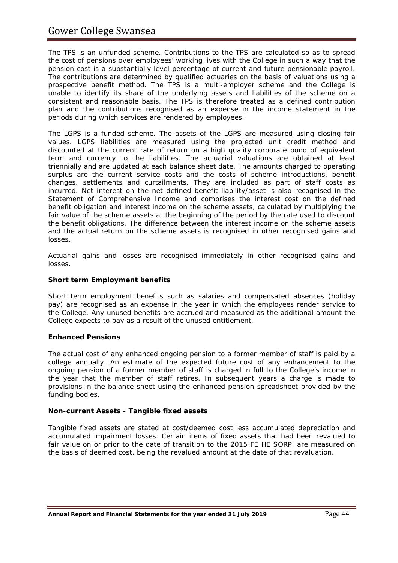# Gower College Swansea

The TPS is an unfunded scheme. Contributions to the TPS are calculated so as to spread the cost of pensions over employees' working lives with the College in such a way that the pension cost is a substantially level percentage of current and future pensionable payroll. The contributions are determined by qualified actuaries on the basis of valuations using a prospective benefit method. The TPS is a multi-employer scheme and the College is unable to identify its share of the underlying assets and liabilities of the scheme on a consistent and reasonable basis. The TPS is therefore treated as a defined contribution plan and the contributions recognised as an expense in the income statement in the periods during which services are rendered by employees.

The LGPS is a funded scheme. The assets of the LGPS are measured using closing fair values. LGPS liabilities are measured using the projected unit credit method and discounted at the current rate of return on a high quality corporate bond of equivalent term and currency to the liabilities. The actuarial valuations are obtained at least triennially and are updated at each balance sheet date. The amounts charged to operating surplus are the current service costs and the costs of scheme introductions, benefit changes, settlements and curtailments. They are included as part of staff costs as incurred. Net interest on the net defined benefit liability/asset is also recognised in the Statement of Comprehensive Income and comprises the interest cost on the defined benefit obligation and interest income on the scheme assets, calculated by multiplying the fair value of the scheme assets at the beginning of the period by the rate used to discount the benefit obligations. The difference between the interest income on the scheme assets and the actual return on the scheme assets is recognised in other recognised gains and losses.

Actuarial gains and losses are recognised immediately in other recognised gains and losses.

#### **Short term Employment benefits**

Short term employment benefits such as salaries and compensated absences (holiday pay) are recognised as an expense in the year in which the employees render service to the College. Any unused benefits are accrued and measured as the additional amount the College expects to pay as a result of the unused entitlement.

#### **Enhanced Pensions**

The actual cost of any enhanced ongoing pension to a former member of staff is paid by a college annually. An estimate of the expected future cost of any enhancement to the ongoing pension of a former member of staff is charged in full to the College's income in the year that the member of staff retires. In subsequent years a charge is made to provisions in the balance sheet using the enhanced pension spreadsheet provided by the funding bodies.

#### **Non-current Assets - Tangible fixed assets**

Tangible fixed assets are stated at cost/deemed cost less accumulated depreciation and accumulated impairment losses. Certain items of fixed assets that had been revalued to fair value on or prior to the date of transition to the 2015 FE HE SORP, are measured on the basis of deemed cost, being the revalued amount at the date of that revaluation.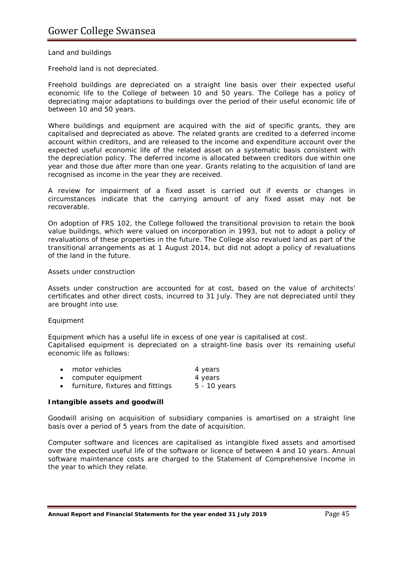#### *Land and buildings*

Freehold land is not depreciated.

Freehold buildings are depreciated on a straight line basis over their expected useful economic life to the College of between 10 and 50 years. The College has a policy of depreciating major adaptations to buildings over the period of their useful economic life of between 10 and 50 years.

Where buildings and equipment are acquired with the aid of specific grants, they are capitalised and depreciated as above. The related grants are credited to a deferred income account within creditors, and are released to the income and expenditure account over the expected useful economic life of the related asset on a systematic basis consistent with the depreciation policy. The deferred income is allocated between creditors due within one year and those due after more than one year. Grants relating to the acquisition of land are recognised as income in the year they are received.

A review for impairment of a fixed asset is carried out if events or changes in circumstances indicate that the carrying amount of any fixed asset may not be recoverable.

On adoption of FRS 102, the College followed the transitional provision to retain the book value buildings, which were valued on incorporation in 1993, but not to adopt a policy of revaluations of these properties in the future. The College also revalued land as part of the transitional arrangements as at 1 August 2014, but did not adopt a policy of revaluations of the land in the future.

#### *Assets under construction*

Assets under construction are accounted for at cost, based on the value of architects' certificates and other direct costs, incurred to 31 July. They are not depreciated until they are brought into use.

#### *Equipment*

Equipment which has a useful life in excess of one year is capitalised at cost. Capitalised equipment is depreciated on a straight-line basis over its remaining useful economic life as follows:

| motor vehicles     | 4 years                                                                                                                                                                                                                                                                                                                                                                              |
|--------------------|--------------------------------------------------------------------------------------------------------------------------------------------------------------------------------------------------------------------------------------------------------------------------------------------------------------------------------------------------------------------------------------|
| computer equipment | 4 years                                                                                                                                                                                                                                                                                                                                                                              |
|                    | $\overline{a}$ $\overline{a}$ $\overline{a}$ $\overline{a}$ $\overline{a}$ $\overline{a}$ $\overline{a}$ $\overline{a}$ $\overline{a}$ $\overline{a}$ $\overline{a}$ $\overline{a}$ $\overline{a}$ $\overline{a}$ $\overline{a}$ $\overline{a}$ $\overline{a}$ $\overline{a}$ $\overline{a}$ $\overline{a}$ $\overline{a}$ $\overline{a}$ $\overline{a}$ $\overline{a}$ $\overline{$ |

• furniture, fixtures and fittings 5 - 10 years

#### **Intangible assets and goodwill**

Goodwill arising on acquisition of subsidiary companies is amortised on a straight line basis over a period of 5 years from the date of acquisition.

Computer software and licences are capitalised as intangible fixed assets and amortised over the expected useful life of the software or licence of between 4 and 10 years. Annual software maintenance costs are charged to the Statement of Comprehensive Income in the year to which they relate.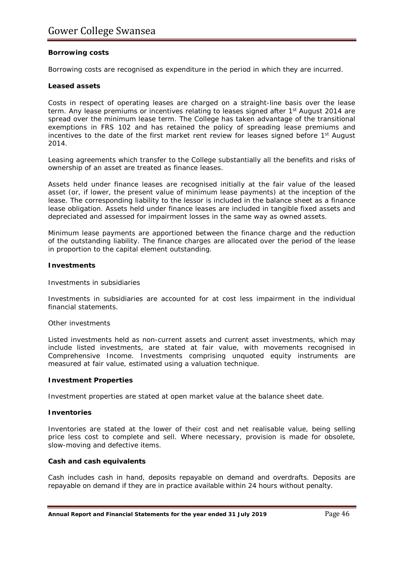#### **Borrowing costs**

Borrowing costs are recognised as expenditure in the period in which they are incurred.

#### **Leased assets**

Costs in respect of operating leases are charged on a straight-line basis over the lease term. Any lease premiums or incentives relating to leases signed after 1<sup>st</sup> August 2014 are spread over the minimum lease term. The College has taken advantage of the transitional exemptions in FRS 102 and has retained the policy of spreading lease premiums and incentives to the date of the first market rent review for leases signed before 1<sup>st</sup> August 2014.

Leasing agreements which transfer to the College substantially all the benefits and risks of ownership of an asset are treated as finance leases.

Assets held under finance leases are recognised initially at the fair value of the leased asset (or, if lower, the present value of minimum lease payments) at the inception of the lease. The corresponding liability to the lessor is included in the balance sheet as a finance lease obligation. Assets held under finance leases are included in tangible fixed assets and depreciated and assessed for impairment losses in the same way as owned assets.

Minimum lease payments are apportioned between the finance charge and the reduction of the outstanding liability. The finance charges are allocated over the period of the lease in proportion to the capital element outstanding.

#### **Investments**

#### *Investments in subsidiaries*

Investments in subsidiaries are accounted for at cost less impairment in the individual financial statements.

#### *Other investments*

Listed investments held as non-current assets and current asset investments, which may include listed investments, are stated at fair value, with movements recognised in Comprehensive Income. Investments comprising unquoted equity instruments are measured at fair value, estimated using a valuation technique.

#### **Investment Properties**

Investment properties are stated at open market value at the balance sheet date.

#### **Inventories**

Inventories are stated at the lower of their cost and net realisable value, being selling price less cost to complete and sell. Where necessary, provision is made for obsolete, slow-moving and defective items.

#### **Cash and cash equivalents**

Cash includes cash in hand, deposits repayable on demand and overdrafts. Deposits are repayable on demand if they are in practice available within 24 hours without penalty.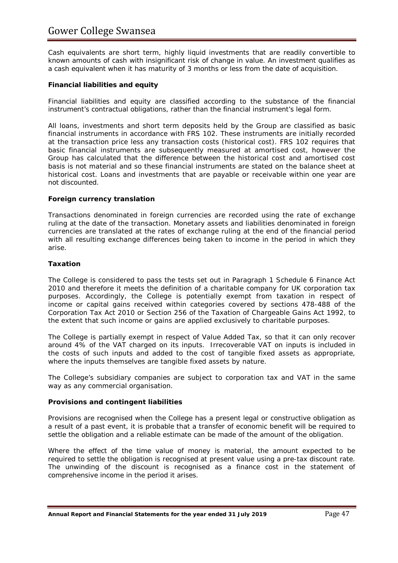Cash equivalents are short term, highly liquid investments that are readily convertible to known amounts of cash with insignificant risk of change in value. An investment qualifies as a cash equivalent when it has maturity of 3 months or less from the date of acquisition.

#### **Financial liabilities and equity**

Financial liabilities and equity are classified according to the substance of the financial instrument's contractual obligations, rather than the financial instrument's legal form.

All loans, investments and short term deposits held by the Group are classified as basic financial instruments in accordance with FRS 102. These instruments are initially recorded at the transaction price less any transaction costs (historical cost). FRS 102 requires that basic financial instruments are subsequently measured at amortised cost, however the Group has calculated that the difference between the historical cost and amortised cost basis is not material and so these financial instruments are stated on the balance sheet at historical cost. Loans and investments that are payable or receivable within one year are not discounted.

#### **Foreign currency translation**

Transactions denominated in foreign currencies are recorded using the rate of exchange ruling at the date of the transaction. Monetary assets and liabilities denominated in foreign currencies are translated at the rates of exchange ruling at the end of the financial period with all resulting exchange differences being taken to income in the period in which they arise.

#### **Taxation**

The College is considered to pass the tests set out in Paragraph 1 Schedule 6 Finance Act 2010 and therefore it meets the definition of a charitable company for UK corporation tax purposes. Accordingly, the College is potentially exempt from taxation in respect of income or capital gains received within categories covered by sections 478-488 of the Corporation Tax Act 2010 or Section 256 of the Taxation of Chargeable Gains Act 1992, to the extent that such income or gains are applied exclusively to charitable purposes.

The College is partially exempt in respect of Value Added Tax, so that it can only recover around 4% of the VAT charged on its inputs. Irrecoverable VAT on inputs is included in the costs of such inputs and added to the cost of tangible fixed assets as appropriate, where the inputs themselves are tangible fixed assets by nature.

The College's subsidiary companies are subject to corporation tax and VAT in the same way as any commercial organisation.

#### **Provisions and contingent liabilities**

Provisions are recognised when the College has a present legal or constructive obligation as a result of a past event, it is probable that a transfer of economic benefit will be required to settle the obligation and a reliable estimate can be made of the amount of the obligation.

Where the effect of the time value of money is material, the amount expected to be required to settle the obligation is recognised at present value using a pre-tax discount rate. The unwinding of the discount is recognised as a finance cost in the statement of comprehensive income in the period it arises.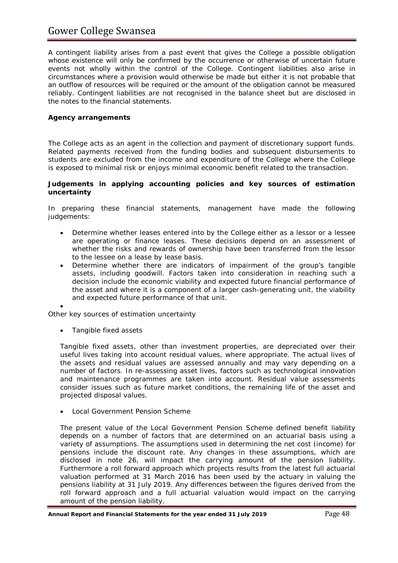# Gower College Swansea

A contingent liability arises from a past event that gives the College a possible obligation whose existence will only be confirmed by the occurrence or otherwise of uncertain future events not wholly within the control of the College. Contingent liabilities also arise in circumstances where a provision would otherwise be made but either it is not probable that an outflow of resources will be required or the amount of the obligation cannot be measured reliably. Contingent liabilities are not recognised in the balance sheet but are disclosed in the notes to the financial statements.

#### **Agency arrangements**

The College acts as an agent in the collection and payment of discretionary support funds. Related payments received from the funding bodies and subsequent disbursements to students are excluded from the income and expenditure of the College where the College is exposed to minimal risk or enjoys minimal economic benefit related to the transaction.

#### **Judgements in applying accounting policies and key sources of estimation uncertainty**

In preparing these financial statements, management have made the following judgements:

- Determine whether leases entered into by the College either as a lessor or a lessee are operating or finance leases. These decisions depend on an assessment of whether the risks and rewards of ownership have been transferred from the lessor to the lessee on a lease by lease basis.
- Determine whether there are indicators of impairment of the group's tangible assets, including goodwill. Factors taken into consideration in reaching such a decision include the economic viability and expected future financial performance of the asset and where it is a component of a larger cash-generating unit, the viability and expected future performance of that unit.

*Other key sources of estimation uncertainty*

• *Tangible fixed assets*

•

Tangible fixed assets, other than investment properties, are depreciated over their useful lives taking into account residual values, where appropriate. The actual lives of the assets and residual values are assessed annually and may vary depending on a number of factors. In re-assessing asset lives, factors such as technological innovation and maintenance programmes are taken into account. Residual value assessments consider issues such as future market conditions, the remaining life of the asset and projected disposal values.

• *Local Government Pension Scheme*

The present value of the Local Government Pension Scheme defined benefit liability depends on a number of factors that are determined on an actuarial basis using a variety of assumptions. The assumptions used in determining the net cost (income) for pensions include the discount rate. Any changes in these assumptions, which are disclosed in note 26, will impact the carrying amount of the pension liability. Furthermore a roll forward approach which projects results from the latest full actuarial valuation performed at 31 March 2016 has been used by the actuary in valuing the pensions liability at 31 July 2019. Any differences between the figures derived from the roll forward approach and a full actuarial valuation would impact on the carrying amount of the pension liability.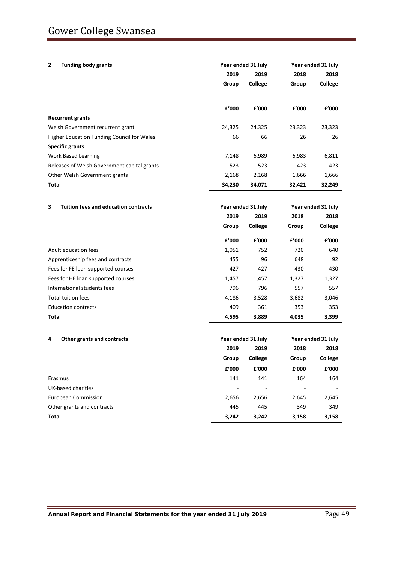| <b>Funding body grants</b><br>2                  | Year ended 31 July |                        | Year ended 31 July |                        |  |
|--------------------------------------------------|--------------------|------------------------|--------------------|------------------------|--|
|                                                  | 2019               | 2019                   | 2018               | 2018                   |  |
|                                                  | Group              | College                | Group              | <b>College</b>         |  |
|                                                  | £'000              | £'000                  | £'000              | £'000                  |  |
| <b>Recurrent grants</b>                          |                    |                        |                    |                        |  |
| Welsh Government recurrent grant                 | 24,325             | 24,325                 | 23,323             | 23,323                 |  |
| Higher Education Funding Council for Wales       | 66                 | 66                     | 26                 | 26                     |  |
| <b>Specific grants</b>                           |                    |                        |                    |                        |  |
| <b>Work Based Learning</b>                       | 7,148              | 6,989                  | 6,983              | 6,811                  |  |
| Releases of Welsh Government capital grants      | 523                | 523                    | 423                | 423                    |  |
| Other Welsh Government grants                    | 2,168              | 2,168                  | 1,666              | 1,666                  |  |
| Total                                            | 34,230             | 34,071                 | 32,421             | 32,249                 |  |
|                                                  |                    |                        |                    |                        |  |
| 3<br><b>Tuition fees and education contracts</b> |                    | Year ended 31 July     | Year ended 31 July |                        |  |
|                                                  | 2019               | 2019                   | 2018               | 2018                   |  |
|                                                  | Group              | College                | Group              | College                |  |
|                                                  | f'000              | £'000                  | £'000              | £'000                  |  |
| Adult education fees                             | 1,051              | 752                    | 720                | 640                    |  |
| Apprenticeship fees and contracts                | 455                | 96                     | 648                | 92                     |  |
| Fees for FE loan supported courses               | 427                | 427                    | 430                | 430                    |  |
| Fees for HE loan supported courses               | 1,457              | 1,457                  | 1,327              | 1,327                  |  |
| International students fees                      | 796                | 796                    | 557                | 557                    |  |
| <b>Total tuition fees</b>                        | 4,186              | 3,528                  | 3,682              | 3,046                  |  |
| <b>Education contracts</b>                       | 409                | 361                    | 353                | 353                    |  |
| Total                                            | 4,595              | 3,889                  | 4,035              | 3,399                  |  |
|                                                  |                    |                        |                    |                        |  |
| 4<br>Other grants and contracts                  |                    | Year ended 31 July     |                    | Year ended 31 July     |  |
|                                                  | 2019               | 2019                   | 2018               | 2018                   |  |
|                                                  | Group              | College                | Group              | College                |  |
|                                                  | £'000              | ${\bf f}^{\prime}$ 000 | £'000              | ${\bf f}^{\prime}$ 000 |  |
| Erasmus                                          | 141                | 141                    | 164                | 164                    |  |
| <b>UK-based charities</b>                        |                    |                        |                    |                        |  |
| <b>European Commission</b>                       | 2,656              | 2,656                  | 2,645              | 2,645                  |  |
| Other grants and contracts                       | 445                | 445                    | 349                | 349                    |  |
| <b>Total</b>                                     | 3,242              | 3,242                  | 3,158              | 3,158                  |  |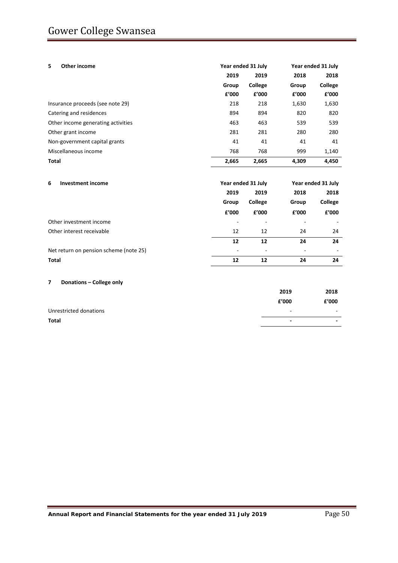| 5.<br>Other income                 | Year ended 31 July |         | Year ended 31 July |         |
|------------------------------------|--------------------|---------|--------------------|---------|
|                                    | 2019               | 2019    | 2018               | 2018    |
|                                    | Group              | College | Group              | College |
|                                    | £'000              | £'000   | £'000              | £'000   |
| Insurance proceeds (see note 29)   | 218                | 218     | 1,630              | 1,630   |
| Catering and residences            | 894                | 894     | 820                | 820     |
| Other income generating activities | 463                | 463     | 539                | 539     |
| Other grant income                 | 281                | 281     | 280                | 280     |
| Non-government capital grants      | 41                 | 41      | 41                 | 41      |
| Miscellaneous income               | 768                | 768     | 999                | 1,140   |
| <b>Total</b>                       | 2.665              | 2,665   | 4.309              | 4.450   |

| <b>Investment income</b><br>6          | Year ended 31 July       |         | Year ended 31 July       |         |
|----------------------------------------|--------------------------|---------|--------------------------|---------|
|                                        | 2019                     | 2019    | 2018                     | 2018    |
|                                        | Group                    | College | Group                    | College |
|                                        | f'000                    | £'000   | f'000                    | £'000   |
| Other investment income                | $\overline{\phantom{0}}$ |         |                          |         |
| Other interest receivable              | 12                       | 12      | 24                       | 24      |
|                                        | 12                       | 12      | 24                       | 24      |
| Net return on pension scheme (note 25) | $\overline{\phantom{a}}$ |         | $\overline{\phantom{0}}$ |         |
| Total                                  | 12                       | 12      | 24                       | 24      |

#### **7 Donations – College only**

| Total                  | -                        | -     |
|------------------------|--------------------------|-------|
| Unrestricted donations | $\overline{\phantom{0}}$ | -     |
|                        | f'000                    | £'000 |
|                        | 2019                     | 2018  |
|                        |                          |       |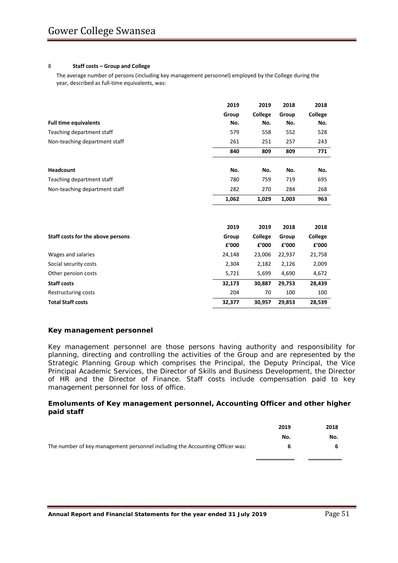#### 8 **Staff costs – Group and College**

The average number of persons (including key management personnel) employed by the College during the year, described as full-time equivalents, was:

|                                   | 2019           | 2019             | 2018           | 2018             |
|-----------------------------------|----------------|------------------|----------------|------------------|
|                                   | Group          | College          | Group          | College          |
| <b>Full time equivalents</b>      | No.            | No.              | No.            | No.              |
| Teaching department staff         | 579            | 558              | 552            | 528              |
| Non-teaching department staff     | 261            | 251              | 257            | 243              |
|                                   | 840            | 809              | 809            | 771              |
| Headcount                         | No.            | No.              | No.            | No.              |
| Teaching department staff         | 780            | 759              | 719            | 695              |
| Non-teaching department staff     | 282            | 270              | 284            | 268              |
|                                   | 1,062          | 1,029            | 1,003          | 963              |
|                                   |                |                  |                |                  |
|                                   | 2019           | 2019             | 2018           | 2018             |
| Staff costs for the above persons | Group<br>£'000 | College<br>£'000 | Group<br>£'000 | College<br>£'000 |
| Wages and salaries                | 24,148         | 23,006           | 22,937         | 21,758           |
| Social security costs             | 2,304          | 2,182            | 2,126          | 2,009            |
| Other pension costs               | 5,721          | 5,699            | 4,690          | 4,672            |
| <b>Staff costs</b>                | 32,173         | 30,887           | 29,753         | 28,439           |
| Restructuring costs               | 204            | 70               | 100            | 100              |
| <b>Total Staff costs</b>          | 32,377         | 30,957           | 29,853         | 28,539           |

#### **Key management personnel**

Key management personnel are those persons having authority and responsibility for planning, directing and controlling the activities of the Group and are represented by the Strategic Planning Group which comprises the Principal, the Deputy Principal, the Vice Principal Academic Services, the Director of Skills and Business Development, the Director of HR and the Director of Finance. Staff costs include compensation paid to key management personnel for loss of office.

#### **Emoluments of Key management personnel, Accounting Officer and other higher paid staff**

|                                                                              | 2019 | 2018 |
|------------------------------------------------------------------------------|------|------|
|                                                                              | No.  | No.  |
| The number of key management personnel including the Accounting Officer was: |      |      |
|                                                                              |      |      |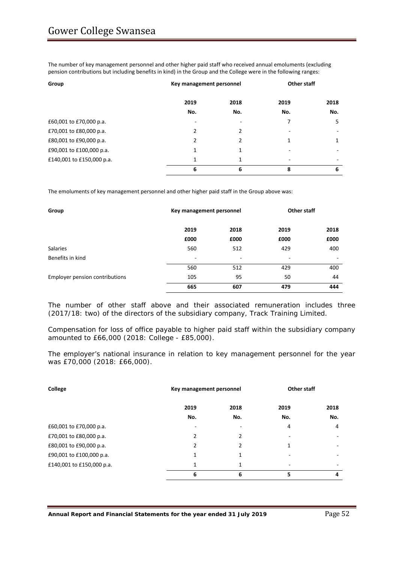The number of key management personnel and other higher paid staff who received annual emoluments (excluding pension contributions but including benefits in kind) in the Group and the College were in the following ranges:

| Group                     | Key management personnel |               | Other staff              |      |
|---------------------------|--------------------------|---------------|--------------------------|------|
|                           | 2019                     | 2018          | 2019                     | 2018 |
|                           | No.                      | No.           | No.                      | No.  |
| £60,001 to £70,000 p.a.   | $\overline{\phantom{a}}$ |               |                          | 5    |
| £70,001 to £80,000 p.a.   | $\mathfrak z$            | $\mathcal{P}$ | ۰                        |      |
| £80,001 to £90,000 p.a.   | $\mathfrak{p}$           | $\mathcal{P}$ | 1                        | 1    |
| £90,001 to £100,000 p.a.  | 1                        |               |                          |      |
| £140,001 to £150,000 p.a. | 1                        | 1             | $\overline{\phantom{a}}$ |      |
|                           | 6                        | 6             | 8                        | 6    |

The emoluments of key management personnel and other higher paid staff in the Group above was:

| Group                          | Key management personnel |      | <b>Other staff</b> |      |
|--------------------------------|--------------------------|------|--------------------|------|
|                                | 2019                     | 2018 | 2019               | 2018 |
|                                | £000                     | £000 | £000               | £000 |
| <b>Salaries</b>                | 560                      | 512  | 429                | 400  |
| Benefits in kind               | -                        | -    | -                  | -    |
|                                | 560                      | 512  | 429                | 400  |
| Employer pension contributions | 105                      | 95   | 50                 | 44   |
|                                | 665                      | 607  | 479                | 444  |

The number of other staff above and their associated remuneration includes three (2017/18: two) of the directors of the subsidiary company, Track Training Limited.

Compensation for loss of office payable to higher paid staff within the subsidiary company amounted to £66,000 (2018: College - £85,000).

The employer's national insurance in relation to key management personnel for the year was £70,000 (2018: £66,000).

| College                   | Key management personnel |               | Other staff |      |
|---------------------------|--------------------------|---------------|-------------|------|
|                           | 2019                     | 2018          | 2019        | 2018 |
|                           | No.                      | No.           | No.         | No.  |
| £60,001 to £70,000 p.a.   | ۰                        |               | 4           | 4    |
| £70,001 to £80,000 p.a.   | $\mathfrak z$            | 2             |             |      |
| £80,001 to £90,000 p.a.   | $\mathfrak{p}$           | $\mathcal{P}$ | 1           | -    |
| £90,001 to £100,000 p.a.  | 1                        | 1             | -           |      |
| £140,001 to £150,000 p.a. | 1                        | 1             |             | -    |
|                           | 6                        | 6             | 5           | 4    |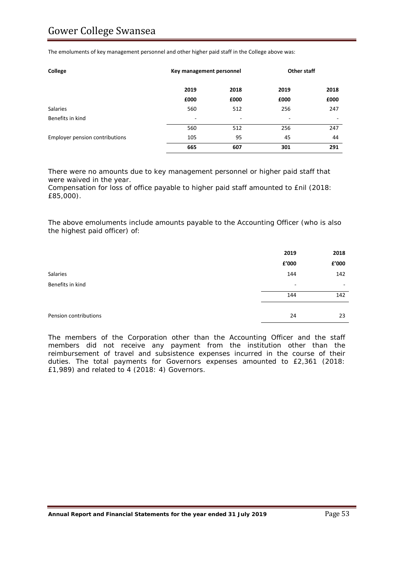The emoluments of key management personnel and other higher paid staff in the College above was:

| College                               | Key management personnel |      | <b>Other staff</b> |      |
|---------------------------------------|--------------------------|------|--------------------|------|
|                                       | 2019                     | 2018 | 2019               | 2018 |
|                                       | £000                     | £000 | £000               | £000 |
| <b>Salaries</b>                       | 560                      | 512  | 256                | 247  |
| Benefits in kind                      | $\overline{\phantom{a}}$ | ۰    | -                  | -    |
|                                       | 560                      | 512  | 256                | 247  |
| <b>Employer pension contributions</b> | 105                      | 95   | 45                 | 44   |
|                                       | 665                      | 607  | 301                | 291  |

There were no amounts due to key management personnel or higher paid staff that were waived in the year.

Compensation for loss of office payable to higher paid staff amounted to £nil (2018: £85,000).

The above emoluments include amounts payable to the Accounting Officer (who is also the highest paid officer) of:

|                       | 2019                     | 2018  |
|-----------------------|--------------------------|-------|
|                       | £'000                    | £'000 |
| Salaries              | 144                      | 142   |
| Benefits in kind      | $\overline{\phantom{0}}$ | -     |
|                       | 144                      | 142   |
|                       |                          |       |
| Pension contributions | 24                       | 23    |

The members of the Corporation other than the Accounting Officer and the staff members did not receive any payment from the institution other than the reimbursement of travel and subsistence expenses incurred in the course of their duties. The total payments for Governors expenses amounted to £2,361 (2018: £1,989) and related to 4 (2018: 4) Governors.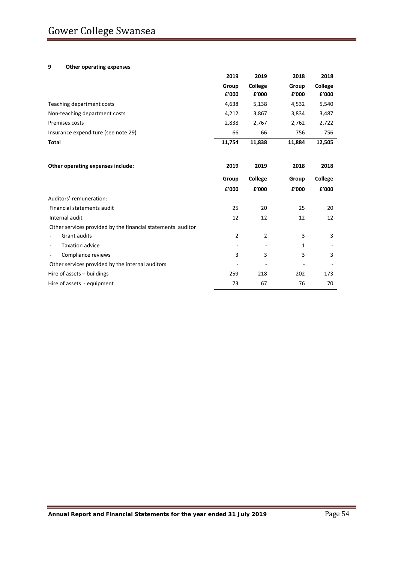#### **9 Other operating expenses**

|                                                             | 2019                     | 2019                     | 2018   | 2018    |
|-------------------------------------------------------------|--------------------------|--------------------------|--------|---------|
|                                                             | Group                    | College                  | Group  | College |
|                                                             | £'000                    | £'000                    | £'000  | £'000   |
| Teaching department costs                                   | 4,638                    | 5,138                    | 4,532  | 5,540   |
| Non-teaching department costs                               | 4,212                    | 3,867                    | 3,834  | 3,487   |
| Premises costs                                              | 2,838                    | 2,767                    | 2,762  | 2,722   |
| Insurance expenditure (see note 29)                         | 66                       | 66                       | 756    | 756     |
| <b>Total</b>                                                | 11,754                   | 11,838                   | 11,884 | 12,505  |
|                                                             |                          |                          |        |         |
| Other operating expenses include:                           | 2019                     | 2019                     | 2018   | 2018    |
|                                                             | Group                    | College                  | Group  | College |
|                                                             | £'000                    | £'000                    | £'000  | £'000   |
| Auditors' remuneration:                                     |                          |                          |        |         |
| Financial statements audit                                  | 25                       | 20                       | 25     | 20      |
| Internal audit                                              | 12                       | 12                       | 12     | 12      |
| Other services provided by the financial statements auditor |                          |                          |        |         |
| <b>Grant audits</b>                                         | 2                        | $\overline{2}$           | 3      | 3       |
| <b>Taxation advice</b>                                      |                          |                          | 1      |         |
| Compliance reviews<br>$\overline{\phantom{a}}$              | 3                        | 3                        | 3      | 3       |
| Other services provided by the internal auditors            | $\overline{\phantom{a}}$ | $\overline{\phantom{a}}$ |        |         |
| Hire of assets $-$ buildings                                | 259                      | 218                      | 202    | 173     |
| Hire of assets - equipment                                  | 73                       | 67                       | 76     | 70      |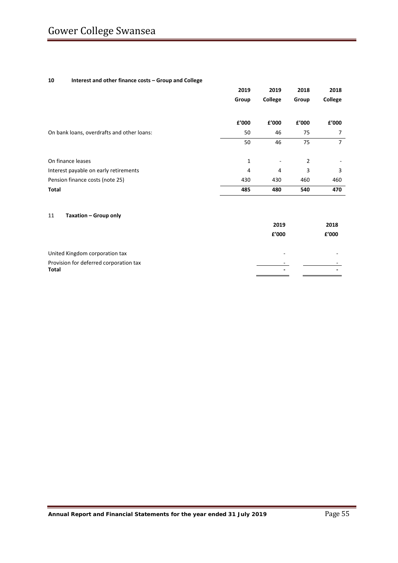#### **10 Interest and other finance costs – Group and College**

|                                            | 2019  | 2019    | 2018  | 2018    |
|--------------------------------------------|-------|---------|-------|---------|
|                                            | Group | College | Group | College |
|                                            | f'000 | f'000   | f'000 | £'000   |
| On bank loans, overdrafts and other loans: | 50    | 46      | 75    | 7       |
|                                            | 50    | 46      | 75    | 7       |
| On finance leases                          | 1     | ۰       | 2     |         |
| Interest payable on early retirements      | 4     | 4       | 3     | 3       |
| Pension finance costs (note 25)            | 430   | 430     | 460   | 460     |
| Total                                      | 485   | 480     | 540   | 470     |

#### 11 **Taxation – Group only**

|                                        | 2019  | 2018  |
|----------------------------------------|-------|-------|
|                                        | f'000 | £'000 |
| United Kingdom corporation tax         |       |       |
| Provision for deferred corporation tax |       |       |
| Total                                  | -     |       |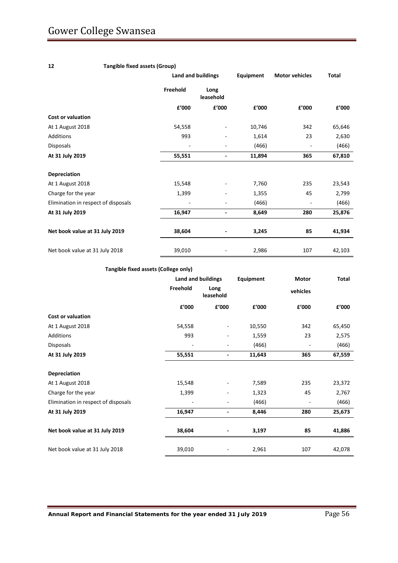## **12 Tangible fixed assets (Group)**

|                                     |          | <b>Land and buildings</b><br>Equipment |        | <b>Motor vehicles</b> | <b>Total</b> |
|-------------------------------------|----------|----------------------------------------|--------|-----------------------|--------------|
|                                     | Freehold | Long<br>leasehold                      |        |                       |              |
|                                     | £'000    | £'000                                  | £'000  | £'000                 | £'000        |
| <b>Cost or valuation</b>            |          |                                        |        |                       |              |
| At 1 August 2018                    | 54,558   | $\overline{\phantom{0}}$               | 10,746 | 342                   | 65,646       |
| <b>Additions</b>                    | 993      | -                                      | 1,614  | 23                    | 2,630        |
| Disposals                           |          | -                                      | (466)  |                       | (466)        |
| At 31 July 2019                     | 55,551   | ۰                                      | 11,894 | 365                   | 67,810       |
| Depreciation                        |          |                                        |        |                       |              |
| At 1 August 2018                    | 15,548   |                                        | 7,760  | 235                   | 23,543       |
| Charge for the year                 | 1,399    |                                        | 1,355  | 45                    | 2,799        |
| Elimination in respect of disposals |          |                                        | (466)  | ٠                     | (466)        |
| At 31 July 2019                     | 16,947   | ۰                                      | 8,649  | 280                   | 25,876       |
| Net book value at 31 July 2019      | 38,604   |                                        | 3,245  | 85                    | 41,934       |
| Net book value at 31 July 2018      | 39,010   | -                                      | 2,986  | 107                   | 42,103       |
|                                     |          |                                        |        |                       |              |

#### **Tangible fixed assets (College only)**

|                                     | Land and buildings |                          |        |          | Equipment<br>Motor |  |  |  | Total |
|-------------------------------------|--------------------|--------------------------|--------|----------|--------------------|--|--|--|-------|
|                                     | Freehold           | Long<br>leasehold        |        | vehicles |                    |  |  |  |       |
|                                     | £'000              | £'000                    | £'000  | £'000    | £'000              |  |  |  |       |
| <b>Cost or valuation</b>            |                    |                          |        |          |                    |  |  |  |       |
| At 1 August 2018                    | 54,558             |                          | 10,550 | 342      | 65,450             |  |  |  |       |
| Additions                           | 993                |                          | 1,559  | 23       | 2,575              |  |  |  |       |
| Disposals                           |                    | ۰                        | (466)  |          | (466)              |  |  |  |       |
| At 31 July 2019                     | 55,551             | ۰                        | 11,643 | 365      | 67,559             |  |  |  |       |
|                                     |                    |                          |        |          |                    |  |  |  |       |
| Depreciation                        |                    |                          |        |          |                    |  |  |  |       |
| At 1 August 2018                    | 15,548             |                          | 7,589  | 235      | 23,372             |  |  |  |       |
| Charge for the year                 | 1,399              |                          | 1,323  | 45       | 2,767              |  |  |  |       |
| Elimination in respect of disposals |                    |                          | (466)  |          | (466)              |  |  |  |       |
| At 31 July 2019                     | 16,947             | $\overline{\phantom{0}}$ | 8,446  | 280      | 25,673             |  |  |  |       |
| Net book value at 31 July 2019      | 38,604             |                          | 3,197  | 85       | 41,886             |  |  |  |       |
| Net book value at 31 July 2018      | 39,010             |                          | 2,961  | 107      | 42,078             |  |  |  |       |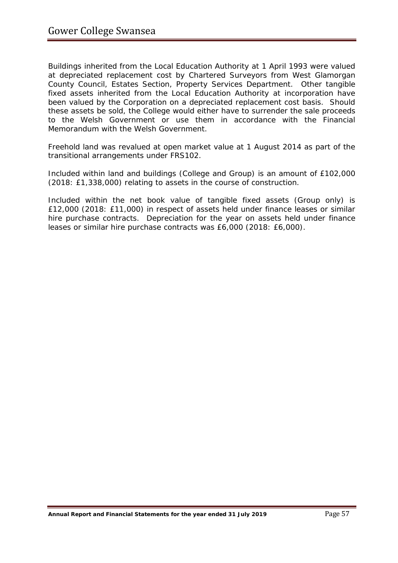Buildings inherited from the Local Education Authority at 1 April 1993 were valued at depreciated replacement cost by Chartered Surveyors from West Glamorgan County Council, Estates Section, Property Services Department. Other tangible fixed assets inherited from the Local Education Authority at incorporation have been valued by the Corporation on a depreciated replacement cost basis. Should these assets be sold, the College would either have to surrender the sale proceeds to the Welsh Government or use them in accordance with the Financial Memorandum with the Welsh Government.

Freehold land was revalued at open market value at 1 August 2014 as part of the transitional arrangements under FRS102.

Included within land and buildings (College and Group) is an amount of £102,000 (2018: £1,338,000) relating to assets in the course of construction.

Included within the net book value of tangible fixed assets (Group only) is £12,000 (2018: £11,000) in respect of assets held under finance leases or similar hire purchase contracts. Depreciation for the year on assets held under finance leases or similar hire purchase contracts was £6,000 (2018: £6,000).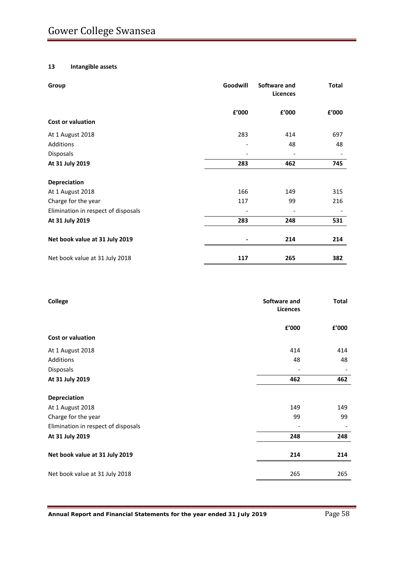#### **13 Intangible assets**

| Goodwill<br>Group                   |       | Software and<br><b>Licences</b> | <b>Total</b> |
|-------------------------------------|-------|---------------------------------|--------------|
|                                     | £'000 | £'000                           | £'000        |
| <b>Cost or valuation</b>            |       |                                 |              |
| At 1 August 2018                    | 283   | 414                             | 697          |
| Additions                           |       | 48                              | 48           |
| Disposals                           |       |                                 |              |
| At 31 July 2019                     | 283   | 462                             | 745          |
| <b>Depreciation</b>                 |       |                                 |              |
| At 1 August 2018                    | 166   | 149                             | 315          |
| Charge for the year                 | 117   | 99                              | 216          |
| Elimination in respect of disposals |       |                                 |              |
| At 31 July 2019                     | 283   | 248                             | 531          |
| Net book value at 31 July 2019      |       | 214                             | 214          |
| Net book value at 31 July 2018      | 117   | 265                             | 382          |

| College                             | Software and<br><b>Licences</b> | <b>Total</b> |
|-------------------------------------|---------------------------------|--------------|
|                                     | £'000                           | £'000        |
| Cost or valuation                   |                                 |              |
| At 1 August 2018                    | 414                             | 414          |
| Additions                           | 48                              | 48           |
| Disposals                           |                                 |              |
| At 31 July 2019                     | 462                             | 462          |
| Depreciation                        |                                 |              |
| At 1 August 2018                    | 149                             | 149          |
| Charge for the year                 | 99                              | 99           |
| Elimination in respect of disposals |                                 |              |
| At 31 July 2019                     | 248                             | 248          |
| Net book value at 31 July 2019      | 214                             | 214          |
| Net book value at 31 July 2018      | 265                             | 265          |
|                                     |                                 |              |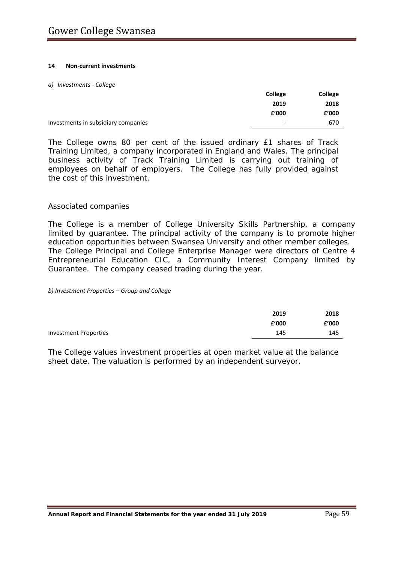#### **14 Non-current investments**

#### *a) Investments - College*

|                                     | <b>College</b> | College |
|-------------------------------------|----------------|---------|
|                                     | 2019           | 2018    |
|                                     | £'000          | £'000   |
| Investments in subsidiary companies | -              | 670     |

The College owns 80 per cent of the issued ordinary £1 shares of Track Training Limited, a company incorporated in England and Wales. The principal business activity of Track Training Limited is carrying out training of employees on behalf of employers. The College has fully provided against the cost of this investment.

## *Associated companies*

The College is a member of College University Skills Partnership, a company limited by guarantee. The principal activity of the company is to promote higher education opportunities between Swansea University and other member colleges. The College Principal and College Enterprise Manager were directors of Centre 4 Entrepreneurial Education CIC, a Community Interest Company limited by Guarantee. The company ceased trading during the year.

*b) Investment Properties – Group and College*

|                       | 2019  | 2018  |
|-----------------------|-------|-------|
|                       | £'000 | £'000 |
| Investment Properties | 145   | 145   |

The College values investment properties at open market value at the balance sheet date. The valuation is performed by an independent surveyor.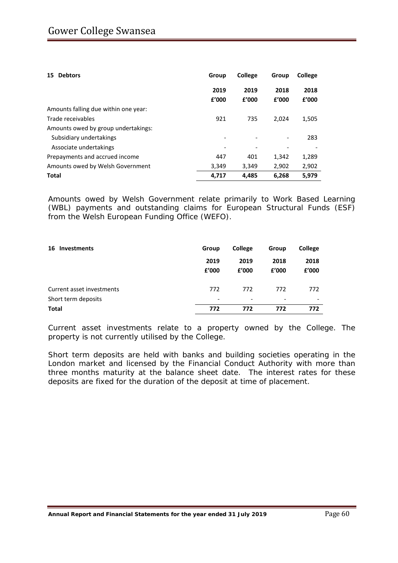| <b>Debtors</b><br>15                 | Group         | <b>College</b> | Group                    | College       |
|--------------------------------------|---------------|----------------|--------------------------|---------------|
|                                      | 2019<br>f'000 | 2019<br>f'000  | 2018<br>£'000            | 2018<br>£'000 |
| Amounts falling due within one year: |               |                |                          |               |
| Trade receivables                    | 921           | 735            | 2.024                    | 1,505         |
| Amounts owed by group undertakings:  |               |                |                          |               |
| Subsidiary undertakings              |               |                | $\overline{\phantom{0}}$ | 283           |
| Associate undertakings               |               |                |                          |               |
| Prepayments and accrued income       | 447           | 401            | 1,342                    | 1,289         |
| Amounts owed by Welsh Government     | 3,349         | 3,349          | 2,902                    | 2,902         |
| <b>Total</b>                         | 4.717         | 4,485          | 6,268                    | 5,979         |

Amounts owed by Welsh Government relate primarily to Work Based Learning (WBL) payments and outstanding claims for European Structural Funds (ESF) from the Welsh European Funding Office (WEFO).

| <b>Investments</b><br>16  | Group                    | <b>College</b>           | Group                    | College                  |
|---------------------------|--------------------------|--------------------------|--------------------------|--------------------------|
|                           | 2019<br>£'000            | 2019<br>£'000            | 2018<br>f'000            | 2018<br>£'000            |
| Current asset investments | 772                      | 772                      | 772                      | 772                      |
| Short term deposits       | $\overline{\phantom{0}}$ | $\overline{\phantom{0}}$ | $\overline{\phantom{0}}$ | $\overline{\phantom{0}}$ |
| <b>Total</b>              | 772                      | 772                      | 772                      | 772                      |

Current asset investments relate to a property owned by the College. The property is not currently utilised by the College.

Short term deposits are held with banks and building societies operating in the London market and licensed by the Financial Conduct Authority with more than three months maturity at the balance sheet date. The interest rates for these deposits are fixed for the duration of the deposit at time of placement.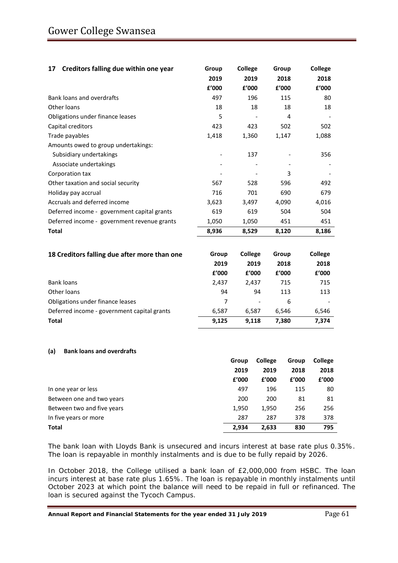| Creditors falling due within one year<br>17  | Group                    | College                  | Group | College |
|----------------------------------------------|--------------------------|--------------------------|-------|---------|
|                                              | 2019                     | 2019                     | 2018  | 2018    |
|                                              | f'000                    | £'000                    | f'000 | f'000   |
| <b>Bank loans and overdrafts</b>             | 497                      | 196                      | 115   | 80      |
| Other loans                                  | 18                       | 18                       | 18    | 18      |
| Obligations under finance leases             | 5                        |                          | 4     |         |
| Capital creditors                            | 423                      | 423                      | 502   | 502     |
| Trade payables                               | 1,418                    | 1,360                    | 1,147 | 1,088   |
| Amounts owed to group undertakings:          |                          |                          |       |         |
| Subsidiary undertakings                      | $\overline{\phantom{a}}$ | 137                      |       | 356     |
| Associate undertakings                       |                          |                          |       |         |
| Corporation tax                              |                          |                          | 3     |         |
| Other taxation and social security           | 567                      | 528                      | 596   | 492     |
| Holiday pay accrual                          | 716                      | 701                      | 690   | 679     |
| Accruals and deferred income                 | 3,623                    | 3,497                    | 4,090 | 4,016   |
| Deferred income - government capital grants  | 619                      | 619                      | 504   | 504     |
| Deferred income - government revenue grants  | 1,050                    | 1,050                    | 451   | 451     |
| <b>Total</b>                                 | 8,936                    | 8,529                    | 8,120 | 8,186   |
|                                              |                          |                          |       |         |
| 18 Creditors falling due after more than one | Group                    | <b>College</b>           | Group | College |
|                                              | 2019                     | 2019                     | 2018  | 2018    |
|                                              | £'000                    | £'000                    | £'000 | £'000   |
| <b>Bank loans</b>                            | 2,437                    | 2,437                    | 715   | 715     |
| Other loans                                  | 94                       | 94                       | 113   | 113     |
| Obligations under finance leases             | $\overline{7}$           | $\overline{\phantom{0}}$ | 6     |         |
| Deferred income - government capital grants  | 6,587                    | 6,587                    | 6,546 | 6,546   |
| <b>Total</b>                                 | 9,125                    | 9,118                    | 7,380 | 7,374   |

#### **(a) Bank loans and overdrafts**

|                            | Group | <b>College</b> | Group | <b>College</b> |
|----------------------------|-------|----------------|-------|----------------|
|                            | 2019  | 2019           | 2018  | 2018           |
|                            | £'000 | f'000          | £'000 | £'000          |
| In one year or less        | 497   | 196            | 115   | 80             |
| Between one and two years  | 200   | 200            | 81    | 81             |
| Between two and five years | 1,950 | 1,950          | 256   | 256            |
| In five years or more      | 287   | 287            | 378   | 378            |
| Total                      | 2,934 | 2,633          | 830   | 795            |

The bank loan with Lloyds Bank is unsecured and incurs interest at base rate plus 0.35%. The loan is repayable in monthly instalments and is due to be fully repaid by 2026.

In October 2018, the College utilised a bank loan of £2,000,000 from HSBC. The loan incurs interest at base rate plus 1.65%. The loan is repayable in monthly instalments until October 2023 at which point the balance will need to be repaid in full or refinanced. The loan is secured against the Tycoch Campus.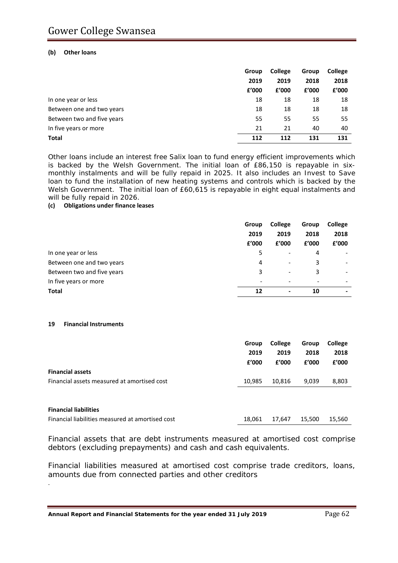#### **(b) Other loans**

|                            | Group | <b>College</b> | Group | College |
|----------------------------|-------|----------------|-------|---------|
|                            | 2019  | 2019           | 2018  | 2018    |
|                            | £'000 | f'000          | £'000 | f'000   |
| In one year or less        | 18    | 18             | 18    | 18      |
| Between one and two years  | 18    | 18             | 18    | 18      |
| Between two and five years | 55    | 55             | 55    | 55      |
| In five years or more      | 21    | 21             | 40    | 40      |
| <b>Total</b>               | 112   | 112            | 131   | 131     |

Other loans include an interest free Salix loan to fund energy efficient improvements which is backed by the Welsh Government. The initial loan of £86,150 is repayable in sixmonthly instalments and will be fully repaid in 2025. It also includes an Invest to Save loan to fund the installation of new heating systems and controls which is backed by the Welsh Government. The initial loan of £60,615 is repayable in eight equal instalments and will be fully repaid in 2026.

#### **(c) Obligations under finance leases**

|                            | Group                    | College                  | Group                        | College                  |
|----------------------------|--------------------------|--------------------------|------------------------------|--------------------------|
|                            | 2019                     | 2019                     | 2018                         | 2018                     |
|                            | £'000                    | f'000                    | £'000                        | £'000                    |
| In one year or less        | 5                        | $\overline{\phantom{a}}$ | 4                            |                          |
| Between one and two years  | 4                        | $\overline{\phantom{a}}$ | 3                            | $\overline{\phantom{a}}$ |
| Between two and five years | 3                        | $\overline{\phantom{a}}$ | 3                            | $\overline{\phantom{a}}$ |
| In five years or more      | $\overline{\phantom{a}}$ | $\overline{\phantom{a}}$ | $\qquad \qquad \blacksquare$ | $\overline{\phantom{0}}$ |
| <b>Total</b>               | 12                       | $\overline{\phantom{0}}$ | 10                           | $\blacksquare$           |

#### **19 Financial Instruments**

.

|                                                  | Group  | College | Group  | College |
|--------------------------------------------------|--------|---------|--------|---------|
|                                                  | 2019   | 2019    | 2018   | 2018    |
|                                                  | £'000  | f'000   | f'000  | f'000   |
| <b>Financial assets</b>                          |        |         |        |         |
| Financial assets measured at amortised cost      | 10,985 | 10,816  | 9,039  | 8,803   |
|                                                  |        |         |        |         |
|                                                  |        |         |        |         |
| <b>Financial liabilities</b>                     |        |         |        |         |
| Financial liabilities measured at amortised cost | 18,061 | 17.647  | 15,500 | 15,560  |

Financial assets that are debt instruments measured at amortised cost comprise debtors (excluding prepayments) and cash and cash equivalents.

Financial liabilities measured at amortised cost comprise trade creditors, loans, amounts due from connected parties and other creditors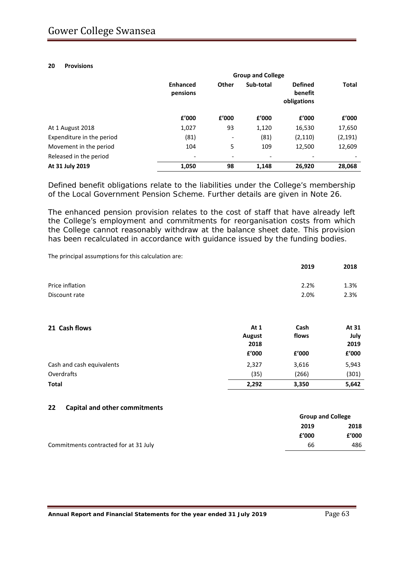#### **20 Provisions**

|                           | <b>Group and College</b>    |                          |           |                                          |              |  |  |
|---------------------------|-----------------------------|--------------------------|-----------|------------------------------------------|--------------|--|--|
|                           | <b>Enhanced</b><br>pensions | Other                    | Sub-total | <b>Defined</b><br>benefit<br>obligations | <b>Total</b> |  |  |
|                           | £'000                       | £'000                    | £'000     | £'000                                    | £'000        |  |  |
| At 1 August 2018          | 1,027                       | 93                       | 1,120     | 16,530                                   | 17,650       |  |  |
| Expenditure in the period | (81)                        | $\overline{\phantom{a}}$ | (81)      | (2, 110)                                 | (2, 191)     |  |  |
| Movement in the period    | 104                         | 5                        | 109       | 12,500                                   | 12,609       |  |  |
| Released in the period    | $\overline{\phantom{0}}$    | $\overline{\phantom{a}}$ |           |                                          |              |  |  |
| At 31 July 2019           | 1,050                       | 98                       | 1,148     | 26,920                                   | 28,068       |  |  |

Defined benefit obligations relate to the liabilities under the College's membership of the Local Government Pension Scheme. Further details are given in Note 26.

The enhanced pension provision relates to the cost of staff that have already left the College's employment and commitments for reorganisation costs from which the College cannot reasonably withdraw at the balance sheet date. This provision has been recalculated in accordance with guidance issued by the funding bodies.

The principal assumptions for this calculation are:

|                           |                | 2019  | 2018         |
|---------------------------|----------------|-------|--------------|
| Price inflation           |                | 2.2%  | 1.3%         |
| Discount rate             |                | 2.0%  | 2.3%         |
|                           |                |       |              |
| 21 Cash flows             | At 1           | Cash  | At 31        |
|                           | August<br>2018 | flows | July<br>2019 |
|                           | £'000          | f'000 | £'000        |
| Cash and cash equivalents | 2,327          | 3,616 | 5,943        |
| Overdrafts                | (35)           | (266) | (301)        |
| <b>Total</b>              | 2,292          | 3,350 | 5,642        |

#### **22 Capital and other commitments**

|                                       |       | <b>Group and College</b> |
|---------------------------------------|-------|--------------------------|
|                                       | 2019  | 2018                     |
|                                       | £'000 | f'000                    |
| Commitments contracted for at 31 July | 66    | 486                      |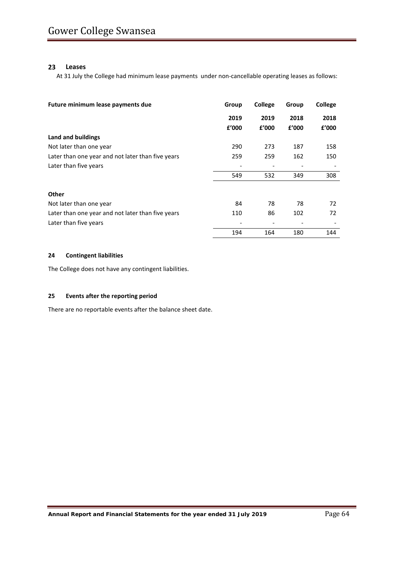#### **23 Leases**

At 31 July the College had minimum lease payments under non-cancellable operating leases as follows:

| Future minimum lease payments due                 | Group | <b>College</b> | Group | College |
|---------------------------------------------------|-------|----------------|-------|---------|
|                                                   | 2019  | 2019           | 2018  | 2018    |
|                                                   | £'000 | £'000          | £'000 | f'000   |
| Land and buildings                                |       |                |       |         |
| Not later than one year                           | 290   | 273            | 187   | 158     |
| Later than one year and not later than five years | 259   | 259            | 162   | 150     |
| Later than five years                             |       |                |       |         |
|                                                   | 549   | 532            | 349   | 308     |
| <b>Other</b>                                      |       |                |       |         |
| Not later than one year                           | 84    | 78             | 78    | 72      |
| Later than one year and not later than five years | 110   | 86             | 102   | 72      |
| Later than five years                             |       |                |       |         |
|                                                   | 194   | 164            | 180   | 144     |

#### **24 Contingent liabilities**

The College does not have any contingent liabilities.

#### **25 Events after the reporting period**

There are no reportable events after the balance sheet date.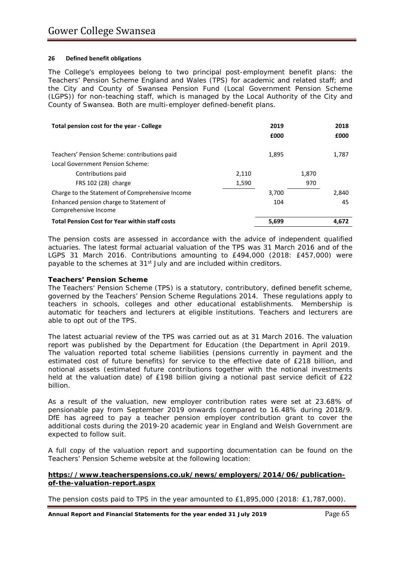#### **26 Defined benefit obligations**

The College's employees belong to two principal post-employment benefit plans: the Teachers' Pension Scheme England and Wales (TPS) for academic and related staff; and the City and County of Swansea Pension Fund (Local Government Pension Scheme (LGPS)) for non-teaching staff, which is managed by the Local Authority of the City and County of Swansea. Both are multi-employer defined-benefit plans.

| Total pension cost for the year - College                       |       | 2019<br>£000 |       | 2018<br>£000 |
|-----------------------------------------------------------------|-------|--------------|-------|--------------|
| Teachers' Pension Scheme: contributions paid                    |       | 1,895        |       | 1,787        |
| Local Government Pension Scheme:                                |       |              |       |              |
| Contributions paid                                              | 2,110 |              | 1,870 |              |
| FRS 102 (28) charge                                             | 1,590 |              | 970   |              |
| Charge to the Statement of Comprehensive Income                 |       | 3,700        |       | 2,840        |
| Enhanced pension charge to Statement of<br>Comprehensive Income |       | 104          |       | 45           |
| <b>Total Pension Cost for Year within staff costs</b>           |       | 5.699        |       | 4.672        |

The pension costs are assessed in accordance with the advice of independent qualified actuaries. The latest formal actuarial valuation of the TPS was 31 March 2016 and of the LGPS 31 March 2016. Contributions amounting to £494,000 (2018: £457,000) were payable to the schemes at 31<sup>st</sup> July and are included within creditors.

#### **Teachers' Pension Scheme**

The Teachers' Pension Scheme (TPS) is a statutory, contributory, defined benefit scheme, governed by the Teachers' Pension Scheme Regulations 2014. These regulations apply to teachers in schools, colleges and other educational establishments. Membership is automatic for teachers and lecturers at eligible institutions. Teachers and lecturers are able to opt out of the TPS.

The latest actuarial review of the TPS was carried out as at 31 March 2016. The valuation report was published by the Department for Education (the Department in April 2019. The valuation reported total scheme liabilities (pensions currently in payment and the estimated cost of future benefits) for service to the effective date of £218 billion, and notional assets (estimated future contributions together with the notional investments held at the valuation date) of £198 billion giving a notional past service deficit of £22 billion.

As a result of the valuation, new employer contribution rates were set at 23.68% of pensionable pay from September 2019 onwards (compared to 16.48% during 2018/9. DfE has agreed to pay a teacher pension employer contribution grant to cover the additional costs during the 2019-20 academic year in England and Welsh Government are expected to follow suit.

A full copy of the valuation report and supporting documentation can be found on the Teachers' Pension Scheme website at the following location:

#### **[https://www.teacherspensions.co.uk/news/employers/2014/06/publication](https://www.teacherspensions.co.uk/news/employers/2014/06/publication-of-the-valuation-report.aspx)[of-the-valuation-report.aspx](https://www.teacherspensions.co.uk/news/employers/2014/06/publication-of-the-valuation-report.aspx)**

The pension costs paid to TPS in the year amounted to £1,895,000 (2018: £1,787,000).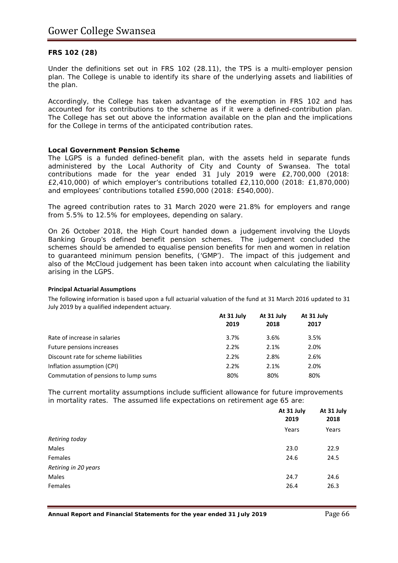## *FRS 102 (28)*

Under the definitions set out in FRS 102 (28.11), the TPS is a multi-employer pension plan. The College is unable to identify its share of the underlying assets and liabilities of the plan.

Accordingly, the College has taken advantage of the exemption in FRS 102 and has accounted for its contributions to the scheme as if it were a defined-contribution plan. The College has set out above the information available on the plan and the implications for the College in terms of the anticipated contribution rates.

#### **Local Government Pension Scheme**

The LGPS is a funded defined-benefit plan, with the assets held in separate funds administered by the Local Authority of City and County of Swansea. The total contributions made for the year ended 31 July 2019 were £2,700,000 (2018: £2,410,000) of which employer's contributions totalled £2,110,000 (2018: £1,870,000) and employees' contributions totalled £590,000 (2018: £540,000).

The agreed contribution rates to 31 March 2020 were 21.8% for employers and range from 5.5% to 12.5% for employees, depending on salary.

On 26 October 2018, the High Court handed down a judgement involving the Lloyds Banking Group's defined benefit pension schemes. The judgement concluded the schemes should be amended to equalise pension benefits for men and women in relation to guaranteed minimum pension benefits, ('GMP'). The impact of this judgement and also of the McCloud judgement has been taken into account when calculating the liability arising in the LGPS.

#### **Principal Actuarial Assumptions**

The following information is based upon a full actuarial valuation of the fund at 31 March 2016 updated to 31 July 2019 by a qualified independent actuary.

|                                      | At 31 July<br>2019 | At 31 July<br>2018 | At 31 July<br>2017 |
|--------------------------------------|--------------------|--------------------|--------------------|
| Rate of increase in salaries         | 3.7%               | 3.6%               | 3.5%               |
| Future pensions increases            | 2.2%               | 2.1%               | 2.0%               |
| Discount rate for scheme liabilities | 2.2%               | 2.8%               | 2.6%               |
| Inflation assumption (CPI)           | 2.2%               | 2.1%               | 2.0%               |
| Commutation of pensions to lump sums | 80%                | 80%                | 80%                |

The current mortality assumptions include sufficient allowance for future improvements in mortality rates. The assumed life expectations on retirement age 65 are:

|                      | At 31 July | At 31 July |
|----------------------|------------|------------|
|                      | 2019       | 2018       |
|                      | Years      | Years      |
| Retiring today       |            |            |
| Males                | 23.0       | 22.9       |
| Females              | 24.6       | 24.5       |
| Retiring in 20 years |            |            |
| Males                | 24.7       | 24.6       |
| Females              | 26.4       | 26.3       |
|                      |            |            |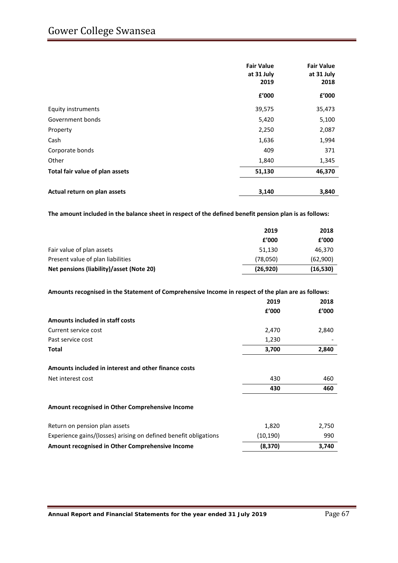# Gower College Swansea

|                                 | <b>Fair Value</b><br>at 31 July<br>2019 | <b>Fair Value</b><br>at 31 July<br>2018 |  |
|---------------------------------|-----------------------------------------|-----------------------------------------|--|
|                                 | £'000                                   | £'000                                   |  |
| Equity instruments              | 39,575                                  | 35,473                                  |  |
| Government bonds                | 5,420                                   | 5,100                                   |  |
| Property                        | 2,250                                   | 2,087                                   |  |
| Cash                            | 1,636                                   | 1,994                                   |  |
| Corporate bonds                 | 409                                     | 371                                     |  |
| Other                           | 1,840                                   | 1,345                                   |  |
| Total fair value of plan assets | 51,130                                  | 46,370                                  |  |
| Actual return on plan assets    | 3,140                                   | 3,840                                   |  |

**The amount included in the balance sheet in respect of the defined benefit pension plan is as follows:**

|                                          | 2019      | 2018      |
|------------------------------------------|-----------|-----------|
|                                          | £'000     | £'000     |
| Fair value of plan assets                | 51.130    | 46,370    |
| Present value of plan liabilities        | (78,050)  | (62,900)  |
| Net pensions (liability)/asset (Note 20) | (26, 920) | (16, 530) |
|                                          |           |           |

| Amounts recognised in the Statement of Comprehensive Income in respect of the plan are as follows: |          |       |
|----------------------------------------------------------------------------------------------------|----------|-------|
|                                                                                                    | 2019     | 2018  |
|                                                                                                    | f'000    | f'000 |
| Amounts included in staff costs                                                                    |          |       |
| Current service cost                                                                               | 2,470    | 2,840 |
| Past service cost                                                                                  | 1,230    |       |
| Total                                                                                              | 3,700    | 2,840 |
| Amounts included in interest and other finance costs                                               |          |       |
| Net interest cost                                                                                  | 430      | 460   |
|                                                                                                    | 430      | 460   |
| Amount recognised in Other Comprehensive Income                                                    |          |       |
| Return on pension plan assets                                                                      | 1,820    | 2,750 |
| Experience gains/(losses) arising on defined benefit obligations                                   | (10,190) | 990   |
| Amount recognised in Other Comprehensive Income                                                    | (8,370)  | 3,740 |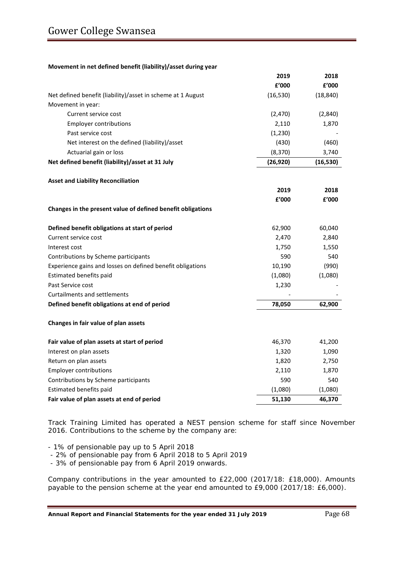#### **Movement in net defined benefit (liability)/asset during year**

|                                                             | 2019      | 2018      |
|-------------------------------------------------------------|-----------|-----------|
|                                                             | f'000     | £'000     |
| Net defined benefit (liability)/asset in scheme at 1 August | (16, 530) | (18, 840) |
| Movement in year:                                           |           |           |
| Current service cost                                        | (2,470)   | (2,840)   |
| <b>Employer contributions</b>                               | 2,110     | 1,870     |
| Past service cost                                           | (1, 230)  |           |
| Net interest on the defined (liability)/asset               | (430)     | (460)     |
| Actuarial gain or loss                                      | (8, 370)  | 3,740     |
| Net defined benefit (liability)/asset at 31 July            | (26, 920) | (16, 530) |
| <b>Asset and Liability Reconciliation</b>                   |           |           |
|                                                             | 2019      | 2018      |
|                                                             | £'000     | f'000     |
| Changes in the present value of defined benefit obligations |           |           |
| Defined benefit obligations at start of period              | 62,900    | 60,040    |
| Current service cost                                        | 2,470     | 2,840     |
| Interest cost                                               | 1,750     | 1,550     |
| Contributions by Scheme participants                        | 590       | 540       |
| Experience gains and losses on defined benefit obligations  | 10,190    | (990)     |
| Estimated benefits paid                                     | (1,080)   | (1,080)   |
| Past Service cost                                           | 1,230     |           |
| Curtailments and settlements                                |           |           |
| Defined benefit obligations at end of period                | 78,050    | 62,900    |
| Changes in fair value of plan assets                        |           |           |
| Fair value of plan assets at start of period                | 46,370    | 41,200    |
| Interest on plan assets                                     | 1,320     | 1,090     |
| Return on plan assets                                       | 1,820     | 2,750     |
| <b>Employer contributions</b>                               | 2,110     | 1,870     |
| Contributions by Scheme participants                        | 590       | 540       |
| Estimated benefits paid                                     | (1,080)   | (1,080)   |
| Fair value of plan assets at end of period                  | 51,130    | 46,370    |

Track Training Limited has operated a NEST pension scheme for staff since November 2016. Contributions to the scheme by the company are:

- 1% of pensionable pay up to 5 April 2018

- 2% of pensionable pay from 6 April 2018 to 5 April 2019

- 3% of pensionable pay from 6 April 2019 onwards.

Company contributions in the year amounted to £22,000 (2017/18: £18,000). Amounts payable to the pension scheme at the year end amounted to £9,000 (2017/18: £6,000).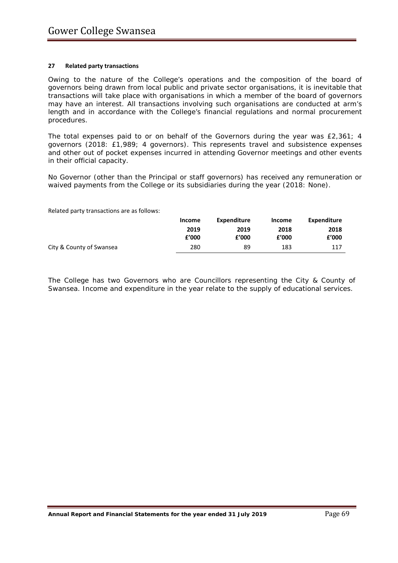#### **27 Related party transactions**

Owing to the nature of the College's operations and the composition of the board of governors being drawn from local public and private sector organisations, it is inevitable that transactions will take place with organisations in which a member of the board of governors may have an interest. All transactions involving such organisations are conducted at arm's length and in accordance with the College's financial regulations and normal procurement procedures.

The total expenses paid to or on behalf of the Governors during the year was £2,361; 4 governors (2018: £1,989; 4 governors). This represents travel and subsistence expenses and other out of pocket expenses incurred in attending Governor meetings and other events in their official capacity.

No Governor (other than the Principal or staff governors) has received any remuneration or waived payments from the College or its subsidiaries during the year (2018: None).

Related party transactions are as follows:

|                          | Income | Expenditure | Income | Expenditure |
|--------------------------|--------|-------------|--------|-------------|
|                          | 2019   | 2019        | 2018   | 2018        |
|                          | f'000  | £'000       | f'000  | £'000       |
| City & County of Swansea | 280    | 89          | 183    | 117         |

The College has two Governors who are Councillors representing the City & County of Swansea. Income and expenditure in the year relate to the supply of educational services.